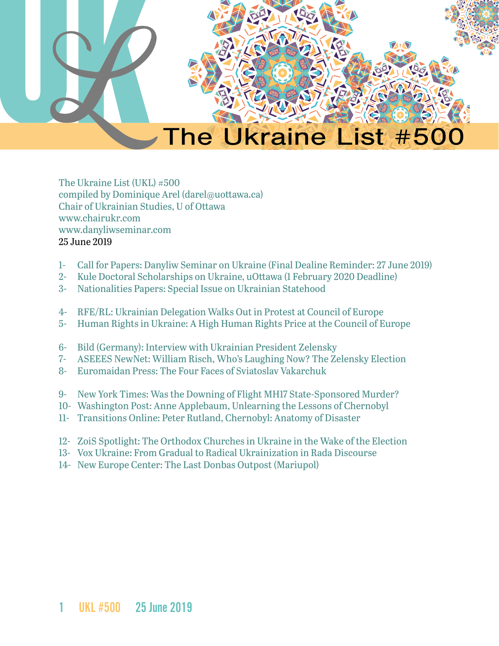

The Ukraine List (UKL) #500 compiled by Dominique Arel (darel@uottawa.ca) Chair of Ukrainian Studies, U of Ottawa [www.chairukr.com](http://www.chairukr.com) [www.danyliwseminar.com](http://www.danyliwseminar.com) 25 June 2019

- <span id="page-0-0"></span>1- [Call for Papers: Danyliw Seminar on Ukraine \(Final Dealine Reminder: 27 June 2019\)](#page-1-0)
- 2- [Kule Doctoral Scholarships on Ukraine, uOttawa \(1 February 2020 Deadline\)](#page-3-0)
- 3- [Nationalities Papers: Special Issue on Ukrainian Statehood](#page-4-0)
- 4- RFE/RL: Ukrainian Delegation Walks Out in Protest at Council of Europe
- 5- [Human Rights in Ukraine: A High Human Rights Price at the Council of Europe](#page-6-0)
- 6- [Bild \(Germany\): Interview with Ukrainian President Zelensky](#page-9-0)
- 7- ASEEES NewNet: William Risch, Who's Laughing Now? The Zelensky Election
- 8- [Euromaidan Press: The Four Faces of Sviatoslav Vakarchuk](#page-18-0)
- 9- [New York Times: Was the Downing of Flight MH17 State-Sponsored Murder?](#page-20-0)
- 10- [Washington Post: Anne Applebaum, Unlearning the Lessons of Chernobyl](#page-24-0)
- 11- [Transitions Online: Peter Rutland, Chernobyl: Anatomy of Disaster](#page-26-0)
- 12- [ZoiS Spotlight: The Orthodox Churches in Ukraine in the Wake of the Election](#page-29-0)
- 13- [Vox Ukraine: From Gradual to Radical Ukrainization in Rada Discourse](#page-32-0)
- 14- [New Europe Center: The Last Donbas Outpost \(Mariupol\)](#page-37-0)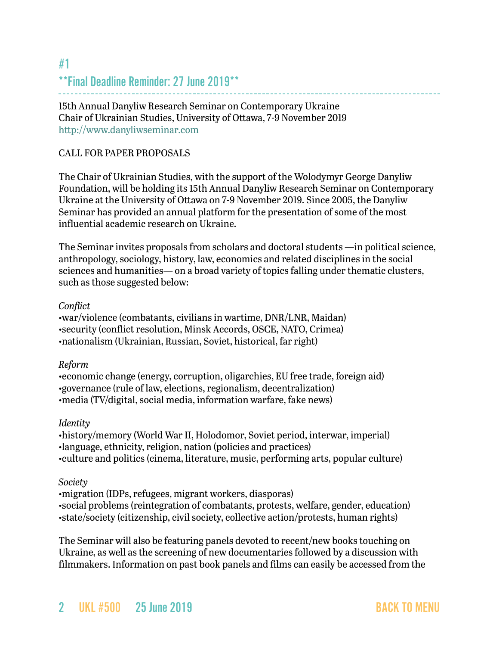# <span id="page-1-0"></span>#1 \*\*Final Deadline Reminder: 27 June 2019\*\*

15th Annual Danyliw Research Seminar on Contemporary Ukraine Chair of Ukrainian Studies, University of Ottawa, 7-9 November 2019 <http://www.danyliwseminar.com>

### CALL FOR PAPER PROPOSALS

The Chair of Ukrainian Studies, with the support of the Wolodymyr George Danyliw Foundation, will be holding its 15th Annual Danyliw Research Seminar on Contemporary Ukraine at the University of Ottawa on 7-9 November 2019. Since 2005, the Danyliw Seminar has provided an annual platform for the presentation of some of the most influential academic research on Ukraine.

The Seminar invites proposals from scholars and doctoral students —in political science, anthropology, sociology, history, law, economics and related disciplines in the social sciences and humanities— on a broad variety of topics falling under thematic clusters, such as those suggested below:

### *Conflict*

•war/violence (combatants, civilians in wartime, DNR/LNR, Maidan) •security (conflict resolution, Minsk Accords, OSCE, NATO, Crimea) •nationalism (Ukrainian, Russian, Soviet, historical, far right)

### *Reform*

•economic change (energy, corruption, oligarchies, EU free trade, foreign aid) •governance (rule of law, elections, regionalism, decentralization) •media (TV/digital, social media, information warfare, fake news)

### *Identity*

•history/memory (World War II, Holodomor, Soviet period, interwar, imperial) •language, ethnicity, religion, nation (policies and practices) •culture and politics (cinema, literature, music, performing arts, popular culture)

### *Society*

•migration (IDPs, refugees, migrant workers, diasporas) •social problems (reintegration of combatants, protests, welfare, gender, education) •state/society (citizenship, civil society, collective action/protests, human rights)

The Seminar will also be featuring panels devoted to recent/new books touching on Ukraine, as well as the screening of new documentaries followed by a discussion with filmmakers. Information on past book panels and films can easily be accessed from the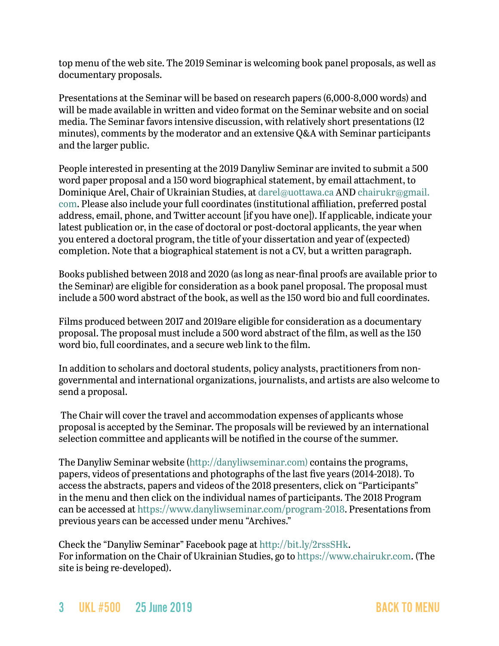top menu of the web site. The 2019 Seminar is welcoming book panel proposals, as well as documentary proposals.

Presentations at the Seminar will be based on research papers (6,000-8,000 words) and will be made available in written and video format on the Seminar website and on social media. The Seminar favors intensive discussion, with relatively short presentations (12 minutes), comments by the moderator and an extensive Q&A with Seminar participants and the larger public.

People interested in presenting at the 2019 Danyliw Seminar are invited to submit a 500 word paper proposal and a 150 word biographical statement, by email attachment, to Dominique Arel, Chair of Ukrainian Studies, at [darel@uottawa.ca](mailto:darel@uottawa.ca) AND [chairukr@gmail.](mailto:chairukr@gmail.com) [com](mailto:chairukr@gmail.com). Please also include your full coordinates (institutional affiliation, preferred postal address, email, phone, and Twitter account [if you have one]). If applicable, indicate your latest publication or, in the case of doctoral or post-doctoral applicants, the year when you entered a doctoral program, the title of your dissertation and year of (expected) completion. Note that a biographical statement is not a CV, but a written paragraph.

Books published between 2018 and 2020 (as long as near-final proofs are available prior to the Seminar) are eligible for consideration as a book panel proposal. The proposal must include a 500 word abstract of the book, as well as the 150 word bio and full coordinates.

Films produced between 2017 and 2019are eligible for consideration as a documentary proposal. The proposal must include a 500 word abstract of the film, as well as the 150 word bio, full coordinates, and a secure web link to the film.

In addition to scholars and doctoral students, policy analysts, practitioners from nongovernmental and international organizations, journalists, and artists are also welcome to send a proposal.

 The Chair will cover the travel and accommodation expenses of applicants whose proposal is accepted by the Seminar. The proposals will be reviewed by an international selection committee and applicants will be notified in the course of the summer.

The Danyliw Seminar website [\(http://danyliwseminar.com\)](http://danyliwseminar.com)) contains the programs, papers, videos of presentations and photographs of the last five years (2014-2018). To access the abstracts, papers and videos of the 2018 presenters, click on "Participants" in the menu and then click on the individual names of participants. The 2018 Program can be accessed at [https://www.danyliwseminar.com/program-2018.](https://www.danyliwseminar.com/program-2018) Presentations from previous years can be accessed under menu "Archives."

Check the "Danyliw Seminar" Facebook page at<http://bit.ly/2rssSHk>. For information on the Chair of Ukrainian Studies, go to <https://www.chairukr.com>. (The site is being re-developed).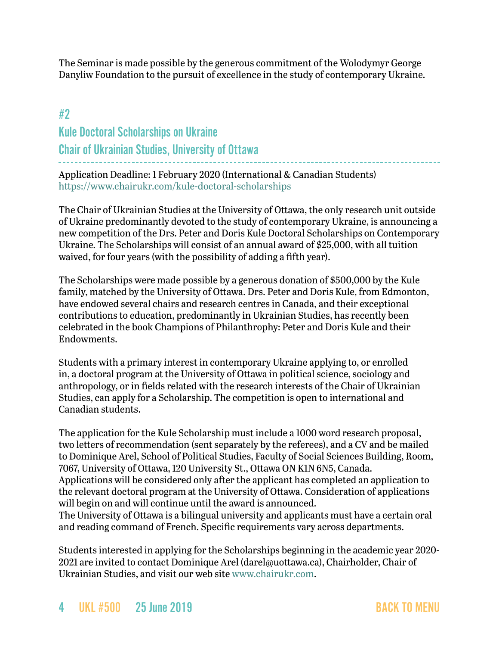The Seminar is made possible by the generous commitment of the Wolodymyr George Danyliw Foundation to the pursuit of excellence in the study of contemporary Ukraine.

## <span id="page-3-0"></span>#2

# Kule Doctoral Scholarships on Ukraine Chair of Ukrainian Studies, University of Ottawa

Application Deadline: 1 February 2020 (International & Canadian Students) <https://www.chairukr.com/kule-doctoral-scholarships>

The Chair of Ukrainian Studies at the University of Ottawa, the only research unit outside of Ukraine predominantly devoted to the study of contemporary Ukraine, is announcing a new competition of the Drs. Peter and Doris Kule Doctoral Scholarships on Contemporary Ukraine. The Scholarships will consist of an annual award of \$25,000, with all tuition waived, for four years (with the possibility of adding a fifth year).

The Scholarships were made possible by a generous donation of \$500,000 by the Kule family, matched by the University of Ottawa. Drs. Peter and Doris Kule, from Edmonton, have endowed several chairs and research centres in Canada, and their exceptional contributions to education, predominantly in Ukrainian Studies, has recently been celebrated in the book Champions of Philanthrophy: Peter and Doris Kule and their Endowments.

Students with a primary interest in contemporary Ukraine applying to, or enrolled in, a doctoral program at the University of Ottawa in political science, sociology and anthropology, or in fields related with the research interests of the Chair of Ukrainian Studies, can apply for a Scholarship. The competition is open to international and Canadian students.

The application for the Kule Scholarship must include a 1000 word research proposal, two letters of recommendation (sent separately by the referees), and a CV and be mailed to Dominique Arel, School of Political Studies, Faculty of Social Sciences Building, Room, 7067, University of Ottawa, 120 University St., Ottawa ON K1N 6N5, Canada. Applications will be considered only after the applicant has completed an application to the relevant doctoral program at the University of Ottawa. Consideration of applications will begin on and will continue until the award is announced.

The University of Ottawa is a bilingual university and applicants must have a certain oral and reading command of French. Specific requirements vary across departments.

Students interested in applying for the Scholarships beginning in the academic year 2020 2021 are invited to contact Dominique Arel ([darel@uottawa.ca\)](mailto:darel@uottawa.ca), Chairholder, Chair of Ukrainian Studies, and visit our web site [www.chairukr.com](http://www.chairukr.com).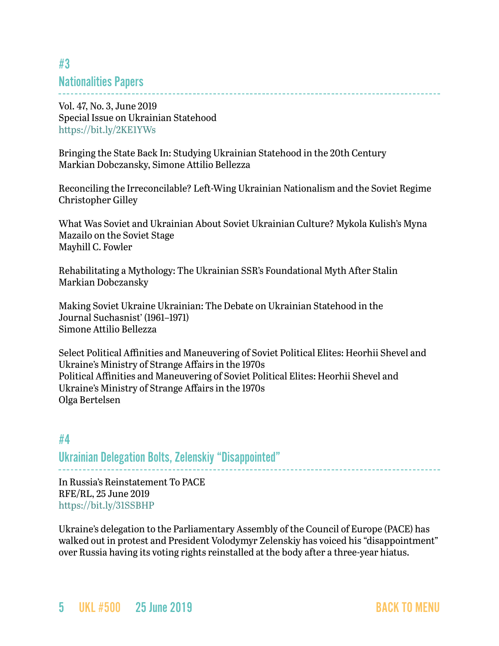# <span id="page-4-0"></span>#3 Nationalities Papers

Vol. 47, No. 3, June 2019 Special Issue on Ukrainian Statehood <https://bit.ly/2KE1YWs>

Bringing the State Back In: Studying Ukrainian Statehood in the 20th Century Markian Dobczansky, Simone Attilio Bellezza

Reconciling the Irreconcilable? Left-Wing Ukrainian Nationalism and the Soviet Regime Christopher Gilley

What Was Soviet and Ukrainian About Soviet Ukrainian Culture? Mykola Kulish's Myna Mazailo on the Soviet Stage Mayhill C. Fowler

Rehabilitating a Mythology: The Ukrainian SSR's Foundational Myth After Stalin Markian Dobczansky

Making Soviet Ukraine Ukrainian: The Debate on Ukrainian Statehood in the Journal Suchasnist' (1961–1971) Simone Attilio Bellezza

Select Political Affinities and Maneuvering of Soviet Political Elites: Heorhii Shevel and Ukraine's Ministry of Strange Affairs in the 1970s Political Affinities and Maneuvering of Soviet Political Elites: Heorhii Shevel and Ukraine's Ministry of Strange Affairs in the 1970s Olga Bertelsen

### #4

Ukrainian Delegation Bolts, Zelenskiy "Disappointed"

In Russia's Reinstatement To PACE RFE/RL, 25 June 2019 <https://bit.ly/31SSBHP>

Ukraine's delegation to the Parliamentary Assembly of the Council of Europe (PACE) has walked out in protest and President Volodymyr Zelenskiy has voiced his "disappointment" over Russia having its voting rights reinstalled at the body after a three-year hiatus.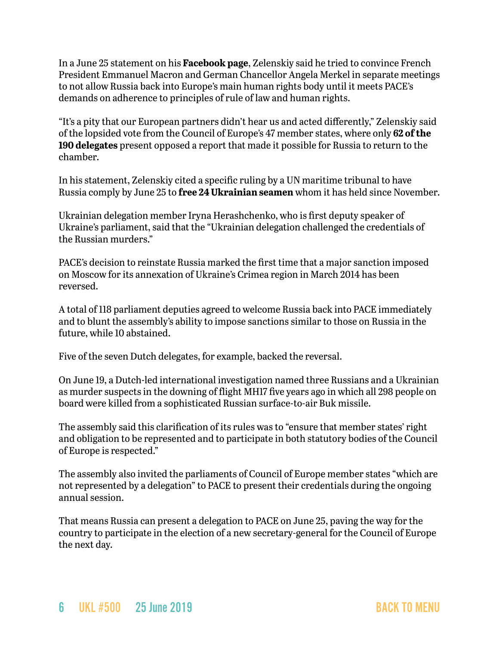In a June 25 statement on his **Facebook page**, Zelenskiy said he tried to convince French President Emmanuel Macron and German Chancellor Angela Merkel in separate meetings to not allow Russia back into Europe's main human rights body until it meets PACE's demands on adherence to principles of rule of law and human rights.

"It's a pity that our European partners didn't hear us and acted differently," Zelenskiy said of the lopsided vote from the Council of Europe's 47 member states, where only **62 of the 190 delegates** present opposed a report that made it possible for Russia to return to the chamber.

In his statement, Zelenskiy cited a specific ruling by a UN maritime tribunal to have Russia comply by June 25 to **free 24 Ukrainian seamen** whom it has held since November.

Ukrainian delegation member Iryna Herashchenko, who is first deputy speaker of Ukraine's parliament, said that the "Ukrainian delegation challenged the credentials of the Russian murders."

PACE's decision to reinstate Russia marked the first time that a major sanction imposed on Moscow for its annexation of Ukraine's Crimea region in March 2014 has been reversed.

A total of 118 parliament deputies agreed to welcome Russia back into PACE immediately and to blunt the assembly's ability to impose sanctions similar to those on Russia in the future, while 10 abstained.

Five of the seven Dutch delegates, for example, backed the reversal.

On June 19, a Dutch-led international investigation named three Russians and a Ukrainian as murder suspects in the downing of flight MH17 five years ago in which all 298 people on board were killed from a sophisticated Russian surface-to-air Buk missile.

The assembly said this clarification of its rules was to "ensure that member states' right and obligation to be represented and to participate in both statutory bodies of the Council of Europe is respected."

The assembly also invited the parliaments of Council of Europe member states "which are not represented by a delegation" to PACE to present their credentials during the ongoing annual session.

That means Russia can present a delegation to PACE on June 25, paving the way for the country to participate in the election of a new secretary-general for the Council of Europe the next day.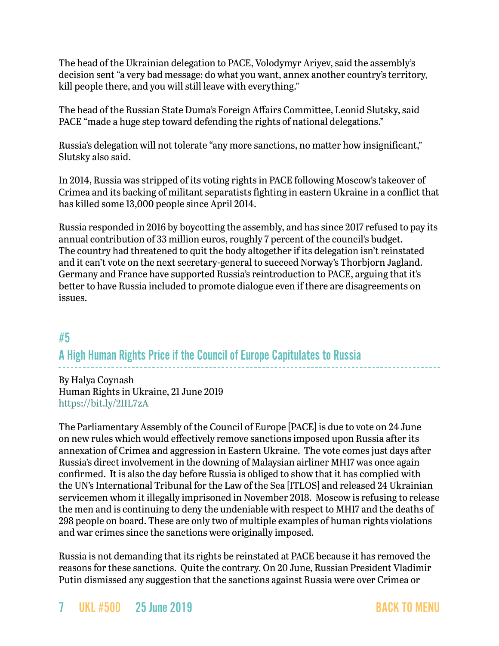The head of the Ukrainian delegation to PACE, Volodymyr Ariyev, said the assembly's decision sent "a very bad message: do what you want, annex another country's territory, kill people there, and you will still leave with everything."

The head of the Russian State Duma's Foreign Affairs Committee, Leonid Slutsky, said PACE "made a huge step toward defending the rights of national delegations."

Russia's delegation will not tolerate "any more sanctions, no matter how insignificant," Slutsky also said.

In 2014, Russia was stripped of its voting rights in PACE following Moscow's takeover of Crimea and its backing of militant separatists fighting in eastern Ukraine in a conflict that has killed some 13,000 people since April 2014.

Russia responded in 2016 by boycotting the assembly, and has since 2017 refused to pay its annual contribution of 33 million euros, roughly 7 percent of the council's budget. The country had threatened to quit the body altogether if its delegation isn't reinstated and it can't vote on the next secretary-general to succeed Norway's Thorbjorn Jagland. Germany and France have supported Russia's reintroduction to PACE, arguing that it's better to have Russia included to promote dialogue even if there are disagreements on issues.

## <span id="page-6-0"></span>#5

A High Human Rights Price if the Council of Europe Capitulates to Russia

By Halya Coynash Human Rights in Ukraine, 21 June 2019 <https://bit.ly/2IIL7zA>

The Parliamentary Assembly of the Council of Europe [PACE] is due to vote on 24 June on new rules which would effectively remove sanctions imposed upon Russia after its annexation of Crimea and aggression in Eastern Ukraine. The vote comes just days after Russia's direct involvement in the downing of Malaysian airliner MH17 was once again confirmed. It is also the day before Russia is obliged to show that it has complied with the UN's International Tribunal for the Law of the Sea [ITLOS] and released 24 Ukrainian servicemen whom it illegally imprisoned in November 2018. Moscow is refusing to release the men and is continuing to deny the undeniable with respect to MH17 and the deaths of 298 people on board. These are only two of multiple examples of human rights violations and war crimes since the sanctions were originally imposed.

Russia is not demanding that its rights be reinstated at PACE because it has removed the reasons for these sanctions. Quite the contrary. On 20 June, Russian President Vladimir Putin dismissed any suggestion that the sanctions against Russia were over Crimea or

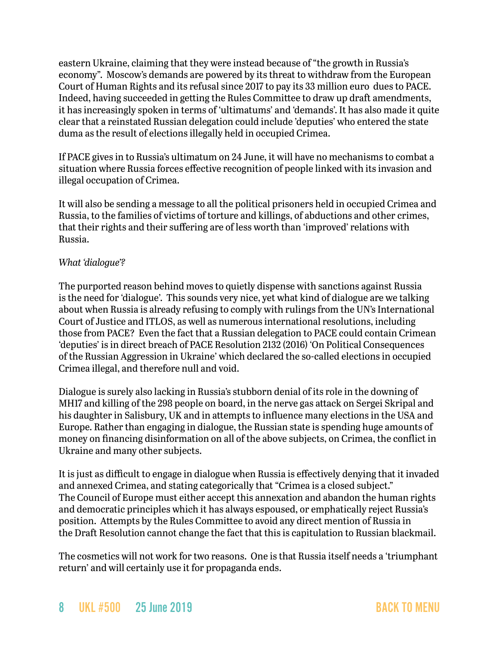eastern Ukraine, claiming that they were instead because of "the growth in Russia's economy". Moscow's demands are powered by its threat to withdraw from the European Court of Human Rights and its refusal since 2017 to pay its 33 million euro dues to PACE. Indeed, having succeeded in getting the Rules Committee to draw up draft amendments, it has increasingly spoken in terms of 'ultimatums' and 'demands'. It has also made it quite clear that a reinstated Russian delegation could include 'deputies' who entered the state duma as the result of elections illegally held in occupied Crimea.

If PACE gives in to Russia's ultimatum on 24 June, it will have no mechanisms to combat a situation where Russia forces effective recognition of people linked with its invasion and illegal occupation of Crimea.

It will also be sending a message to all the political prisoners held in occupied Crimea and Russia, to the families of victims of torture and killings, of abductions and other crimes, that their rights and their suffering are of less worth than 'improved' relations with Russia.

### *What 'dialogue'?*

The purported reason behind moves to quietly dispense with sanctions against Russia is the need for 'dialogue'. This sounds very nice, yet what kind of dialogue are we talking about when Russia is already refusing to comply with rulings from the UN's International Court of Justice and ITLOS, as well as numerous international resolutions, including those from PACE? Even the fact that a Russian delegation to PACE could contain Crimean 'deputies' is in direct breach of PACE Resolution 2132 (2016) 'On Political Consequences of the Russian Aggression in Ukraine' which declared the so-called elections in occupied Crimea illegal, and therefore null and void.

Dialogue is surely also lacking in Russia's stubborn denial of its role in the downing of MH17 and killing of the 298 people on board, in the nerve gas attack on Sergei Skripal and his daughter in Salisbury, UK and in attempts to influence many elections in the USA and Europe. Rather than engaging in dialogue, the Russian state is spending huge amounts of money on financing disinformation on all of the above subjects, on Crimea, the conflict in Ukraine and many other subjects.

It is just as difficult to engage in dialogue when Russia is effectively denying that it invaded and annexed Crimea, and stating categorically that "Crimea is a closed subject." The Council of Europe must either accept this annexation and abandon the human rights and democratic principles which it has always espoused, or emphatically reject Russia's position. Attempts by the Rules Committee to avoid any direct mention of Russia in the Draft Resolution cannot change the fact that this is capitulation to Russian blackmail.

The cosmetics will not work for two reasons. One is that Russia itself needs a 'triumphant return' and will certainly use it for propaganda ends.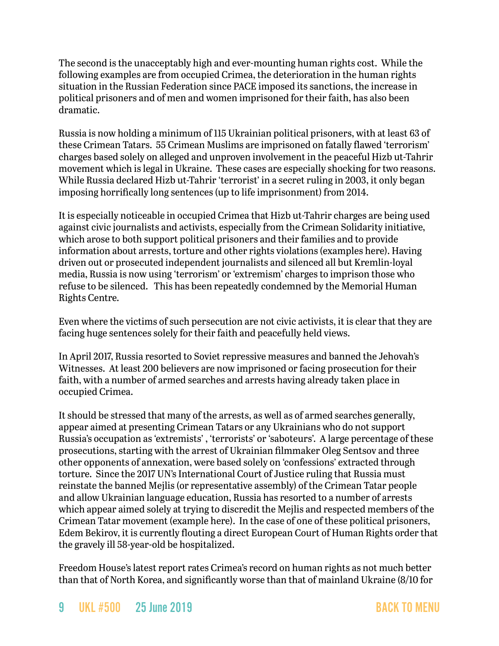The second is the unacceptably high and ever-mounting human rights cost. While the following examples are from occupied Crimea, the deterioration in the human rights situation in the Russian Federation since PACE imposed its sanctions, the increase in political prisoners and of men and women imprisoned for their faith, has also been dramatic.

Russia is now holding a minimum of 115 Ukrainian political prisoners, with at least 63 of these Crimean Tatars. 55 Crimean Muslims are imprisoned on fatally flawed 'terrorism' charges based solely on alleged and unproven involvement in the peaceful Hizb ut-Tahrir movement which is legal in Ukraine. These cases are especially shocking for two reasons. While Russia declared Hizb ut-Tahrir 'terrorist' in a secret ruling in 2003, it only began imposing horrifically long sentences (up to life imprisonment) from 2014.

It is especially noticeable in occupied Crimea that Hizb ut-Tahrir charges are being used against civic journalists and activists, especially from the Crimean Solidarity initiative, which arose to both support political prisoners and their families and to provide information about arrests, torture and other rights violations (examples here). Having driven out or prosecuted independent journalists and silenced all but Kremlin-loyal media, Russia is now using 'terrorism' or 'extremism' charges to imprison those who refuse to be silenced. This has been repeatedly condemned by the Memorial Human Rights Centre.

Even where the victims of such persecution are not civic activists, it is clear that they are facing huge sentences solely for their faith and peacefully held views.

In April 2017, Russia resorted to Soviet repressive measures and banned the Jehovah's Witnesses. At least 200 believers are now imprisoned or facing prosecution for their faith, with a number of armed searches and arrests having already taken place in occupied Crimea.

It should be stressed that many of the arrests, as well as of armed searches generally, appear aimed at presenting Crimean Tatars or any Ukrainians who do not support Russia's occupation as 'extremists' , 'terrorists' or 'saboteurs'. A large percentage of these prosecutions, starting with the arrest of Ukrainian filmmaker Oleg Sentsov and three other opponents of annexation, were based solely on 'confessions' extracted through torture. Since the 2017 UN's International Court of Justice ruling that Russia must reinstate the banned Mejlis (or representative assembly) of the Crimean Tatar people and allow Ukrainian language education, Russia has resorted to a number of arrests which appear aimed solely at trying to discredit the Mejlis and respected members of the Crimean Tatar movement (example here). In the case of one of these political prisoners, Edem Bekirov, it is currently flouting a direct European Court of Human Rights order that the gravely ill 58-year-old be hospitalized.

Freedom House's latest report rates Crimea's record on human rights as not much better than that of North Korea, and significantly worse than that of mainland Ukraine (8/10 for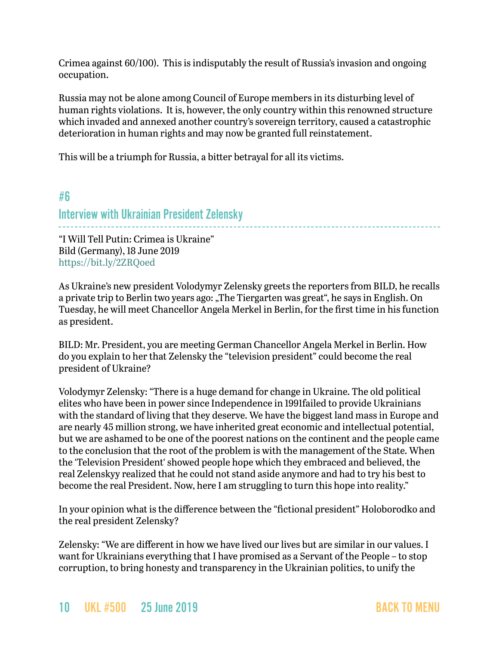Crimea against 60/100). This is indisputably the result of Russia's invasion and ongoing occupation.

Russia may not be alone among Council of Europe members in its disturbing level of human rights violations. It is, however, the only country within this renowned structure which invaded and annexed another country's sovereign territory, caused a catastrophic deterioration in human rights and may now be granted full reinstatement.

This will be a triumph for Russia, a bitter betrayal for all its victims.

<span id="page-9-0"></span>#6

# Interview with Ukrainian President Zelensky

"I Will Tell Putin: Crimea is Ukraine" Bild (Germany), 18 June 2019 <https://bit.ly/2ZRQoed>

As Ukraine's new president Volodymyr Zelensky greets the reporters from BILD, he recalls a private trip to Berlin two years ago: "The Tiergarten was great", he says in English. On Tuesday, he will meet Chancellor Angela Merkel in Berlin, for the first time in his function as president.

BILD: Mr. President, you are meeting German Chancellor Angela Merkel in Berlin. How do you explain to her that Zelensky the "television president" could become the real president of Ukraine?

Volodymyr Zelensky: "There is a huge demand for change in Ukraine. The old political elites who have been in power since Independence in 1991failed to provide Ukrainians with the standard of living that they deserve. We have the biggest land mass in Europe and are nearly 45 million strong, we have inherited great economic and intellectual potential, but we are ashamed to be one of the poorest nations on the continent and the people came to the conclusion that the root of the problem is with the management of the State. When the 'Television President' showed people hope which they embraced and believed, the real Zelenskyy realized that he could not stand aside anymore and had to try his best to become the real President. Now, here I am struggling to turn this hope into reality."

In your opinion what is the difference between the "fictional president" Holoborodko and the real president Zelensky?

Zelensky: "We are different in how we have lived our lives but are similar in our values. I want for Ukrainians everything that I have promised as a Servant of the People – to stop corruption, to bring honesty and transparency in the Ukrainian politics, to unify the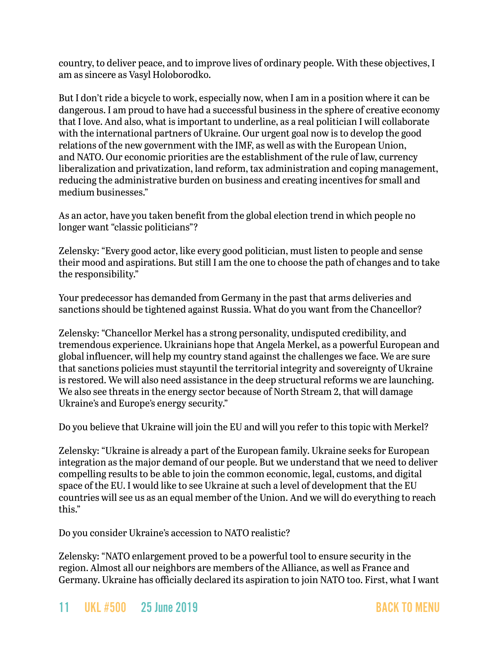country, to deliver peace, and to improve lives of ordinary people. With these objectives, I am as sincere as Vasyl Holoborodko.

But I don't ride a bicycle to work, especially now, when I am in a position where it can be dangerous. I am proud to have had a successful business in the sphere of creative economy that I love. And also, what is important to underline, as a real politician I will collaborate with the international partners of Ukraine. Our urgent goal now is to develop the good relations of the new government with the IMF, as well as with the European Union, and NATO. Our economic priorities are the establishment of the rule of law, currency liberalization and privatization, land reform, tax administration and coping management, reducing the administrative burden on business and creating incentives for small and medium businesses."

As an actor, have you taken benefit from the global election trend in which people no longer want "classic politicians"?

Zelensky: "Every good actor, like every good politician, must listen to people and sense their mood and aspirations. But still I am the one to choose the path of changes and to take the responsibility."

Your predecessor has demanded from Germany in the past that arms deliveries and sanctions should be tightened against Russia. What do you want from the Chancellor?

Zelensky: "Chancellor Merkel has a strong personality, undisputed credibility, and tremendous experience. Ukrainians hope that Angela Merkel, as a powerful European and global influencer, will help my country stand against the challenges we face. We are sure that sanctions policies must stayuntil the territorial integrity and sovereignty of Ukraine is restored. We will also need assistance in the deep structural reforms we are launching. We also see threats in the energy sector because of North Stream 2, that will damage Ukraine's and Europe's energy security."

Do you believe that Ukraine will join the EU and will you refer to this topic with Merkel?

Zelensky: "Ukraine is already a part of the European family. Ukraine seeks for European integration as the major demand of our people. But we understand that we need to deliver compelling results to be able to join the common economic, legal, customs, and digital space of the EU. I would like to see Ukraine at such a level of development that the EU countries will see us as an equal member of the Union. And we will do everything to reach this."

Do you consider Ukraine's accession to NATO realistic?

Zelensky: "NATO enlargement proved to be a powerful tool to ensure security in the region. Almost all our neighbors are members of the Alliance, as well as France and Germany. Ukraine has officially declared its aspiration to join NATO too. First, what I want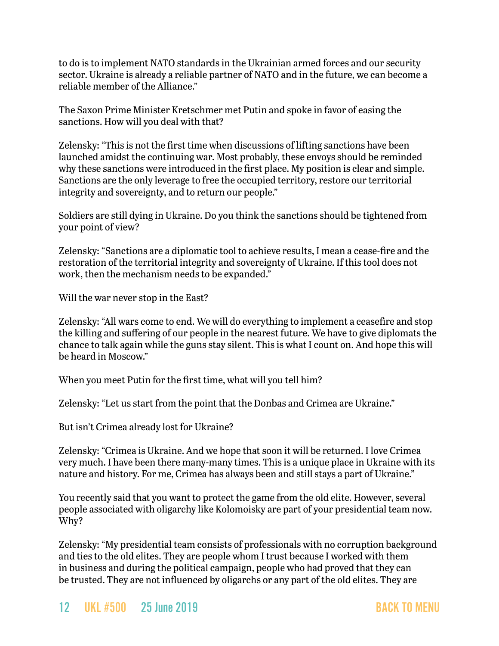to do is to implement NATO standards in the Ukrainian armed forces and our security sector. Ukraine is already a reliable partner of NATO and in the future, we can become a reliable member of the Alliance."

The Saxon Prime Minister Kretschmer met Putin and spoke in favor of easing the sanctions. How will you deal with that?

Zelensky: "This is not the first time when discussions of lifting sanctions have been launched amidst the continuing war. Most probably, these envoys should be reminded why these sanctions were introduced in the first place. My position is clear and simple. Sanctions are the only leverage to free the occupied territory, restore our territorial integrity and sovereignty, and to return our people."

Soldiers are still dying in Ukraine. Do you think the sanctions should be tightened from your point of view?

Zelensky: "Sanctions are a diplomatic tool to achieve results, I mean a cease-fire and the restoration of the territorial integrity and sovereignty of Ukraine. If this tool does not work, then the mechanism needs to be expanded."

Will the war never stop in the East?

Zelensky: "All wars come to end. We will do everything to implement a ceasefire and stop the killing and suffering of our people in the nearest future. We have to give diplomats the chance to talk again while the guns stay silent. This is what I count on. And hope this will be heard in Moscow."

When you meet Putin for the first time, what will you tell him?

Zelensky: "Let us start from the point that the Donbas and Crimea are Ukraine."

But isn't Crimea already lost for Ukraine?

Zelensky: "Crimea is Ukraine. And we hope that soon it will be returned. I love Crimea very much. I have been there many-many times. This is a unique place in Ukraine with its nature and history. For me, Crimea has always been and still stays a part of Ukraine."

You recently said that you want to protect the game from the old elite. However, several people associated with oligarchy like Kolomoisky are part of your presidential team now. Why?

Zelensky: "My presidential team consists of professionals with no corruption background and ties to the old elites. They are people whom I trust because I worked with them in business and during the political campaign, people who had proved that they can be trusted. They are not influenced by oligarchs or any part of the old elites. They are

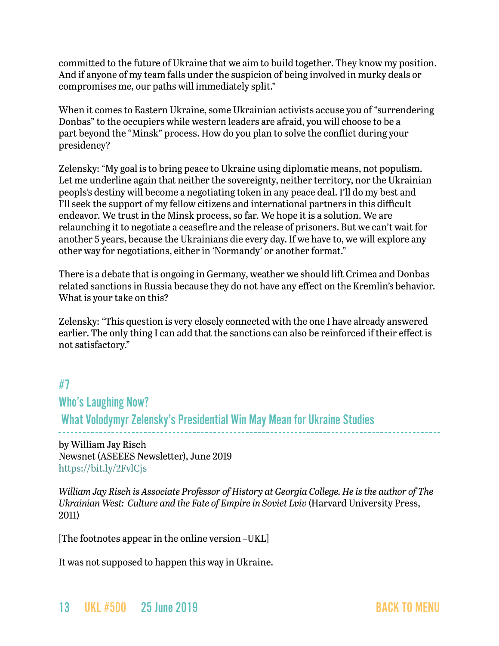committed to the future of Ukraine that we aim to build together. They know my position. And if anyone of my team falls under the suspicion of being involved in murky deals or compromises me, our paths will immediately split."

When it comes to Eastern Ukraine, some Ukrainian activists accuse you of "surrendering Donbas" to the occupiers while western leaders are afraid, you will choose to be a part beyond the "Minsk" process. How do you plan to solve the conflict during your presidency?

Zelensky: "My goal is to bring peace to Ukraine using diplomatic means, not populism. Let me underline again that neither the sovereignty, neither territory, nor the Ukrainian peopls's destiny will become a negotiating token in any peace deal. I'll do my best and I'll seek the support of my fellow citizens and international partners in this difficult endeavor. We trust in the Minsk process, so far. We hope it is a solution. We are relaunching it to negotiate a ceasefire and the release of prisoners. But we can't wait for another 5 years, because the Ukrainians die every day. If we have to, we will explore any other way for negotiations, either in 'Normandy' or another format."

There is a debate that is ongoing in Germany, weather we should lift Crimea and Donbas related sanctions in Russia because they do not have any effect on the Kremlin's behavior. What is your take on this?

Zelensky: "This question is very closely connected with the one I have already answered earlier. The only thing I can add that the sanctions can also be reinforced if their effect is not satisfactory."

### #7

Who's Laughing Now? What Volodymyr Zelensky's Presidential Win May Mean for Ukraine Studies

by William Jay Risch Newsnet (ASEEES Newsletter), June 2019 <https://bit.ly/2FvlCjs>

*William Jay Risch is Associate Professor of History at Georgia College. He is the author of The Ukrainian West: Culture and the Fate of Empire in Soviet Lviv* (Harvard University Press, 2011)

[The footnotes appear in the online version –UKL]

It was not supposed to happen this way in Ukraine.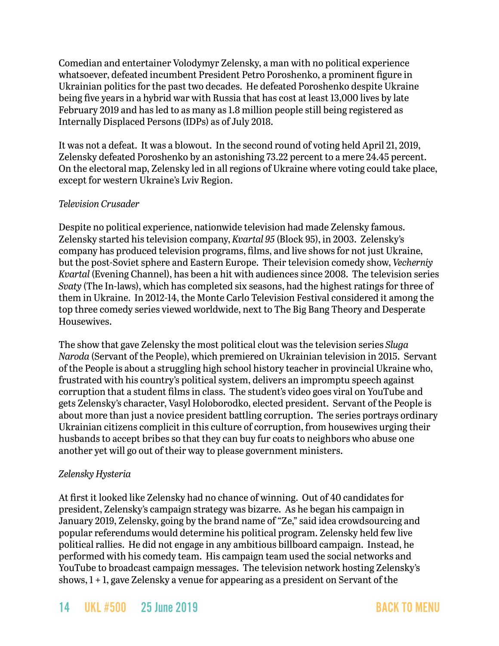Comedian and entertainer Volodymyr Zelensky, a man with no political experience whatsoever, defeated incumbent President Petro Poroshenko, a prominent figure in Ukrainian politics for the past two decades. He defeated Poroshenko despite Ukraine being five years in a hybrid war with Russia that has cost at least 13,000 lives by late February 2019 and has led to as many as 1.8 million people still being registered as Internally Displaced Persons (IDPs) as of July 2018.

It was not a defeat. It was a blowout. In the second round of voting held April 21, 2019, Zelensky defeated Poroshenko by an astonishing 73.22 percent to a mere 24.45 percent. On the electoral map, Zelensky led in all regions of Ukraine where voting could take place, except for western Ukraine's Lviv Region.

### *Television Crusader*

Despite no political experience, nationwide television had made Zelensky famous. Zelensky started his television company, *Kvartal 95* (Block 95), in 2003. Zelensky's company has produced television programs, films, and live shows for not just Ukraine, but the post-Soviet sphere and Eastern Europe. Their television comedy show, *Vecherniy Kvartal* (Evening Channel), has been a hit with audiences since 2008. The television series *Svaty* (The In-laws), which has completed six seasons, had the highest ratings for three of them in Ukraine. In 2012-14, the Monte Carlo Television Festival considered it among the top three comedy series viewed worldwide, next to The Big Bang Theory and Desperate Housewives.

The show that gave Zelensky the most political clout was the television series *Sluga Naroda* (Servant of the People), which premiered on Ukrainian television in 2015. Servant of the People is about a struggling high school history teacher in provincial Ukraine who, frustrated with his country's political system, delivers an impromptu speech against corruption that a student films in class. The student's video goes viral on YouTube and gets Zelensky's character, Vasyl Holoborodko, elected president. Servant of the People is about more than just a novice president battling corruption. The series portrays ordinary Ukrainian citizens complicit in this culture of corruption, from housewives urging their husbands to accept bribes so that they can buy fur coats to neighbors who abuse one another yet will go out of their way to please government ministers.

### *Zelensky Hysteria*

At first it looked like Zelensky had no chance of winning. Out of 40 candidates for president, Zelensky's campaign strategy was bizarre. As he began his campaign in January 2019, Zelensky, going by the brand name of "Ze," said idea crowdsourcing and popular referendums would determine his political program. Zelensky held few live political rallies. He did not engage in any ambitious billboard campaign. Instead, he performed with his comedy team. His campaign team used the social networks and YouTube to broadcast campaign messages. The television network hosting Zelensky's shows, 1 + 1, gave Zelensky a venue for appearing as a president on Servant of the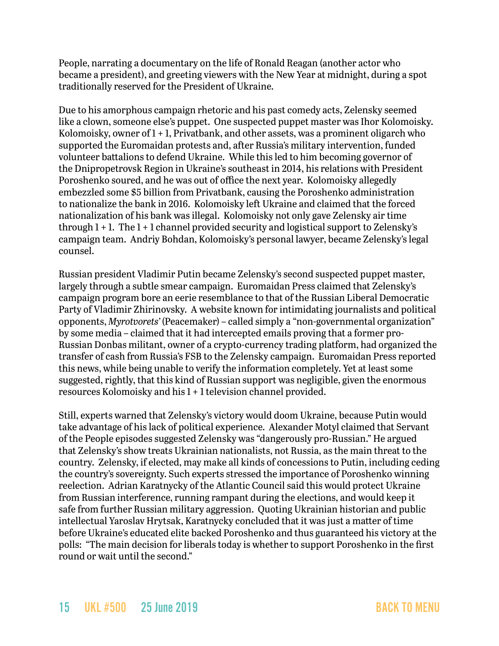People, narrating a documentary on the life of Ronald Reagan (another actor who became a president), and greeting viewers with the New Year at midnight, during a spot traditionally reserved for the President of Ukraine.

Due to his amorphous campaign rhetoric and his past comedy acts, Zelensky seemed like a clown, someone else's puppet. One suspected puppet master was Ihor Kolomoisky. Kolomoisky, owner of  $1 + 1$ , Privatbank, and other assets, was a prominent oligarch who supported the Euromaidan protests and, after Russia's military intervention, funded volunteer battalions to defend Ukraine. While this led to him becoming governor of the Dnipropetrovsk Region in Ukraine's southeast in 2014, his relations with President Poroshenko soured, and he was out of office the next year. Kolomoisky allegedly embezzled some \$5 billion from Privatbank, causing the Poroshenko administration to nationalize the bank in 2016. Kolomoisky left Ukraine and claimed that the forced nationalization of his bank was illegal. Kolomoisky not only gave Zelensky air time through  $1 + 1$ . The  $1 + 1$  channel provided security and logistical support to Zelensky's campaign team. Andriy Bohdan, Kolomoisky's personal lawyer, became Zelensky's legal counsel.

Russian president Vladimir Putin became Zelensky's second suspected puppet master, largely through a subtle smear campaign. Euromaidan Press claimed that Zelensky's campaign program bore an eerie resemblance to that of the Russian Liberal Democratic Party of Vladimir Zhirinovsky. A website known for intimidating journalists and political opponents, *Myrotvorets'* (Peacemaker) – called simply a "non-governmental organization" by some media – claimed that it had intercepted emails proving that a former pro-Russian Donbas militant, owner of a crypto-currency trading platform, had organized the transfer of cash from Russia's FSB to the Zelensky campaign. Euromaidan Press reported this news, while being unable to verify the information completely. Yet at least some suggested, rightly, that this kind of Russian support was negligible, given the enormous resources Kolomoisky and his 1 + 1 television channel provided.

Still, experts warned that Zelensky's victory would doom Ukraine, because Putin would take advantage of his lack of political experience. Alexander Motyl claimed that Servant of the People episodes suggested Zelensky was "dangerously pro-Russian." He argued that Zelensky's show treats Ukrainian nationalists, not Russia, as the main threat to the country. Zelensky, if elected, may make all kinds of concessions to Putin, including ceding the country's sovereignty. Such experts stressed the importance of Poroshenko winning reelection. Adrian Karatnycky of the Atlantic Council said this would protect Ukraine from Russian interference, running rampant during the elections, and would keep it safe from further Russian military aggression. Quoting Ukrainian historian and public intellectual Yaroslav Hrytsak, Karatnycky concluded that it was just a matter of time before Ukraine's educated elite backed Poroshenko and thus guaranteed his victory at the polls: "The main decision for liberals today is whether to support Poroshenko in the first round or wait until the second."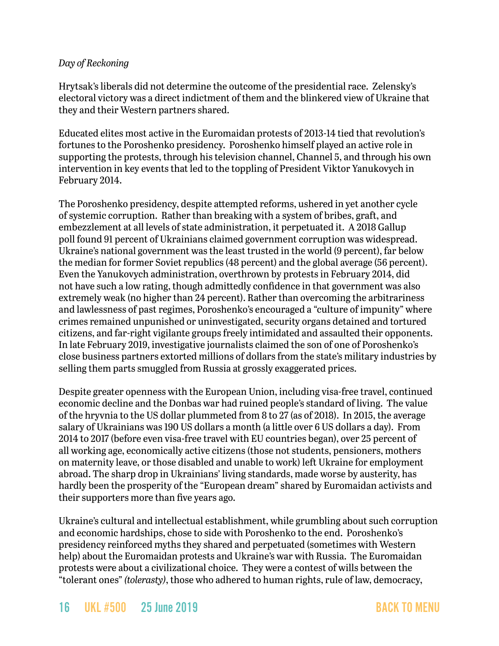### *Day of Reckoning*

Hrytsak's liberals did not determine the outcome of the presidential race. Zelensky's electoral victory was a direct indictment of them and the blinkered view of Ukraine that they and their Western partners shared.

Educated elites most active in the Euromaidan protests of 2013-14 tied that revolution's fortunes to the Poroshenko presidency. Poroshenko himself played an active role in supporting the protests, through his television channel, Channel 5, and through his own intervention in key events that led to the toppling of President Viktor Yanukovych in February 2014.

The Poroshenko presidency, despite attempted reforms, ushered in yet another cycle of systemic corruption. Rather than breaking with a system of bribes, graft, and embezzlement at all levels of state administration, it perpetuated it. A 2018 Gallup poll found 91 percent of Ukrainians claimed government corruption was widespread. Ukraine's national government was the least trusted in the world (9 percent), far below the median for former Soviet republics (48 percent) and the global average (56 percent). Even the Yanukovych administration, overthrown by protests in February 2014, did not have such a low rating, though admittedly confidence in that government was also extremely weak (no higher than 24 percent). Rather than overcoming the arbitrariness and lawlessness of past regimes, Poroshenko's encouraged a "culture of impunity" where crimes remained unpunished or uninvestigated, security organs detained and tortured citizens, and far-right vigilante groups freely intimidated and assaulted their opponents. In late February 2019, investigative journalists claimed the son of one of Poroshenko's close business partners extorted millions of dollars from the state's military industries by selling them parts smuggled from Russia at grossly exaggerated prices.

Despite greater openness with the European Union, including visa-free travel, continued economic decline and the Donbas war had ruined people's standard of living. The value of the hryvnia to the US dollar plummeted from 8 to 27 (as of 2018). In 2015, the average salary of Ukrainians was 190 US dollars a month (a little over 6 US dollars a day). From 2014 to 2017 (before even visa-free travel with EU countries began), over 25 percent of all working age, economically active citizens (those not students, pensioners, mothers on maternity leave, or those disabled and unable to work) left Ukraine for employment abroad. The sharp drop in Ukrainians' living standards, made worse by austerity, has hardly been the prosperity of the "European dream" shared by Euromaidan activists and their supporters more than five years ago.

Ukraine's cultural and intellectual establishment, while grumbling about such corruption and economic hardships, chose to side with Poroshenko to the end. Poroshenko's presidency reinforced myths they shared and perpetuated (sometimes with Western help) about the Euromaidan protests and Ukraine's war with Russia. The Euromaidan protests were about a civilizational choice. They were a contest of wills between the "tolerant ones" *(tolerasty)*, those who adhered to human rights, rule of law, democracy,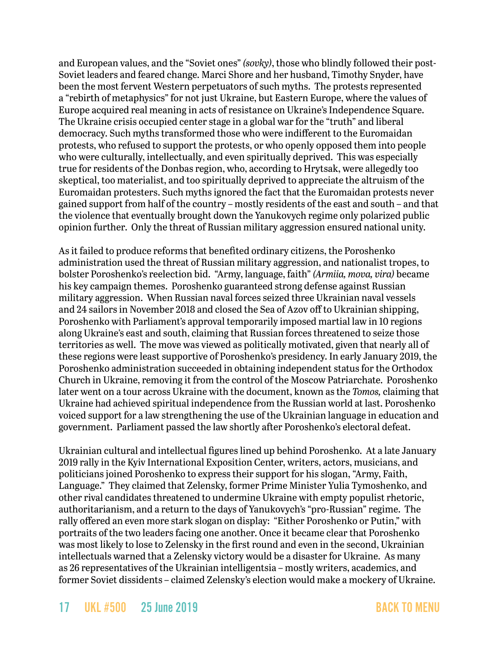and European values, and the "Soviet ones" *(sovky)*, those who blindly followed their post-Soviet leaders and feared change. Marci Shore and her husband, Timothy Snyder, have been the most fervent Western perpetuators of such myths. The protests represented a "rebirth of metaphysics" for not just Ukraine, but Eastern Europe, where the values of Europe acquired real meaning in acts of resistance on Ukraine's Independence Square. The Ukraine crisis occupied center stage in a global war for the "truth" and liberal democracy. Such myths transformed those who were indifferent to the Euromaidan protests, who refused to support the protests, or who openly opposed them into people who were culturally, intellectually, and even spiritually deprived. This was especially true for residents of the Donbas region, who, according to Hrytsak, were allegedly too skeptical, too materialist, and too spiritually deprived to appreciate the altruism of the Euromaidan protesters. Such myths ignored the fact that the Euromaidan protests never gained support from half of the country – mostly residents of the east and south – and that the violence that eventually brought down the Yanukovych regime only polarized public opinion further. Only the threat of Russian military aggression ensured national unity.

As it failed to produce reforms that benefited ordinary citizens, the Poroshenko administration used the threat of Russian military aggression, and nationalist tropes, to bolster Poroshenko's reelection bid. "Army, language, faith" *(Armiia, mova, vira)* became his key campaign themes. Poroshenko guaranteed strong defense against Russian military aggression. When Russian naval forces seized three Ukrainian naval vessels and 24 sailors in November 2018 and closed the Sea of Azov off to Ukrainian shipping, Poroshenko with Parliament's approval temporarily imposed martial law in 10 regions along Ukraine's east and south, claiming that Russian forces threatened to seize those territories as well. The move was viewed as politically motivated, given that nearly all of these regions were least supportive of Poroshenko's presidency. In early January 2019, the Poroshenko administration succeeded in obtaining independent status for the Orthodox Church in Ukraine, removing it from the control of the Moscow Patriarchate. Poroshenko later went on a tour across Ukraine with the document, known as the *Tomos,* claiming that Ukraine had achieved spiritual independence from the Russian world at last. Poroshenko voiced support for a law strengthening the use of the Ukrainian language in education and government. Parliament passed the law shortly after Poroshenko's electoral defeat.

Ukrainian cultural and intellectual figures lined up behind Poroshenko. At a late January 2019 rally in the Kyiv International Exposition Center, writers, actors, musicians, and politicians joined Poroshenko to express their support for his slogan, "Army, Faith, Language." They claimed that Zelensky, former Prime Minister Yulia Tymoshenko, and other rival candidates threatened to undermine Ukraine with empty populist rhetoric, authoritarianism, and a return to the days of Yanukovych's "pro-Russian" regime. The rally offered an even more stark slogan on display: "Either Poroshenko or Putin," with portraits of the two leaders facing one another. Once it became clear that Poroshenko was most likely to lose to Zelensky in the first round and even in the second, Ukrainian intellectuals warned that a Zelensky victory would be a disaster for Ukraine. As many as 26 representatives of the Ukrainian intelligentsia – mostly writers, academics, and former Soviet dissidents – claimed Zelensky's election would make a mockery of Ukraine.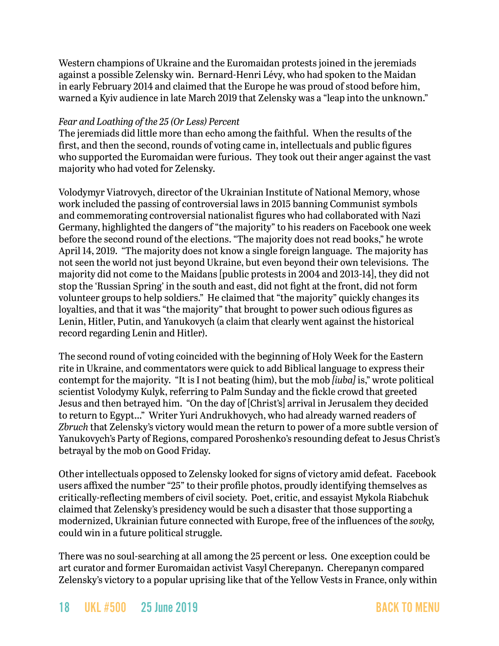Western champions of Ukraine and the Euromaidan protests joined in the jeremiads against a possible Zelensky win. Bernard-Henri Lévy, who had spoken to the Maidan in early February 2014 and claimed that the Europe he was proud of stood before him, warned a Kyiv audience in late March 2019 that Zelensky was a "leap into the unknown."

### *Fear and Loathing of the 25 (Or Less) Percent*

The jeremiads did little more than echo among the faithful. When the results of the first, and then the second, rounds of voting came in, intellectuals and public figures who supported the Euromaidan were furious. They took out their anger against the vast majority who had voted for Zelensky.

Volodymyr Viatrovych, director of the Ukrainian Institute of National Memory, whose work included the passing of controversial laws in 2015 banning Communist symbols and commemorating controversial nationalist figures who had collaborated with Nazi Germany, highlighted the dangers of "the majority" to his readers on Facebook one week before the second round of the elections. "The majority does not read books," he wrote April 14, 2019. "The majority does not know a single foreign language. The majority has not seen the world not just beyond Ukraine, but even beyond their own televisions. The majority did not come to the Maidans [public protests in 2004 and 2013-14], they did not stop the 'Russian Spring' in the south and east, did not fight at the front, did not form volunteer groups to help soldiers." He claimed that "the majority" quickly changes its loyalties, and that it was "the majority" that brought to power such odious figures as Lenin, Hitler, Putin, and Yanukovych (a claim that clearly went against the historical record regarding Lenin and Hitler).

The second round of voting coincided with the beginning of Holy Week for the Eastern rite in Ukraine, and commentators were quick to add Biblical language to express their contempt for the majority. "It is I not beating (him), but the mob *[iuba]* is," wrote political scientist Volodymy Kulyk, referring to Palm Sunday and the fickle crowd that greeted Jesus and then betrayed him. "On the day of [Christ's] arrival in Jerusalem they decided to return to Egypt…" Writer Yuri Andrukhovych, who had already warned readers of *Zbruch* that Zelensky's victory would mean the return to power of a more subtle version of Yanukovych's Party of Regions, compared Poroshenko's resounding defeat to Jesus Christ's betrayal by the mob on Good Friday.

Other intellectuals opposed to Zelensky looked for signs of victory amid defeat. Facebook users affixed the number "25" to their profile photos, proudly identifying themselves as critically-reflecting members of civil society. Poet, critic, and essayist Mykola Riabchuk claimed that Zelensky's presidency would be such a disaster that those supporting a modernized, Ukrainian future connected with Europe, free of the influences of the *sovky,*  could win in a future political struggle.

There was no soul-searching at all among the 25 percent or less. One exception could be art curator and former Euromaidan activist Vasyl Cherepanyn. Cherepanyn compared Zelensky's victory to a popular uprising like that of the Yellow Vests in France, only within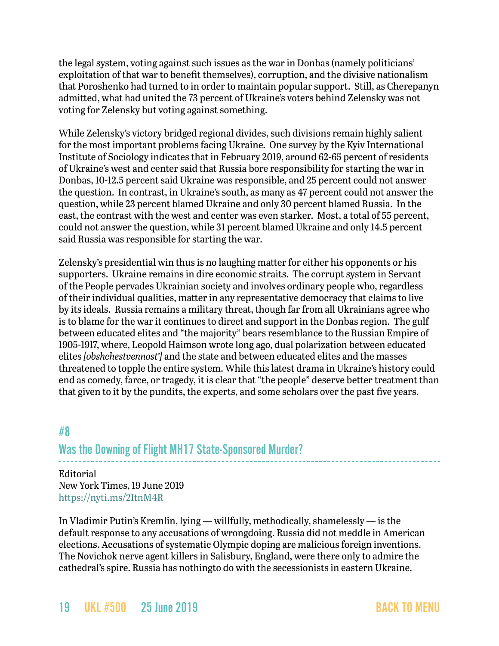the legal system, voting against such issues as the war in Donbas (namely politicians' exploitation of that war to benefit themselves), corruption, and the divisive nationalism that Poroshenko had turned to in order to maintain popular support. Still, as Cherepanyn admitted, what had united the 73 percent of Ukraine's voters behind Zelensky was not voting for Zelensky but voting against something.

While Zelensky's victory bridged regional divides, such divisions remain highly salient for the most important problems facing Ukraine. One survey by the Kyiv International Institute of Sociology indicates that in February 2019, around 62-65 percent of residents of Ukraine's west and center said that Russia bore responsibility for starting the war in Donbas, 10-12.5 percent said Ukraine was responsible, and 25 percent could not answer the question. In contrast, in Ukraine's south, as many as 47 percent could not answer the question, while 23 percent blamed Ukraine and only 30 percent blamed Russia. In the east, the contrast with the west and center was even starker. Most, a total of 55 percent, could not answer the question, while 31 percent blamed Ukraine and only 14.5 percent said Russia was responsible for starting the war.

Zelensky's presidential win thus is no laughing matter for either his opponents or his supporters. Ukraine remains in dire economic straits. The corrupt system in Servant of the People pervades Ukrainian society and involves ordinary people who, regardless of their individual qualities, matter in any representative democracy that claims to live by its ideals. Russia remains a military threat, though far from all Ukrainians agree who is to blame for the war it continues to direct and support in the Donbas region. The gulf between educated elites and "the majority" bears resemblance to the Russian Empire of 1905-1917, where, Leopold Haimson wrote long ago, dual polarization between educated elites *[obshchestvennost']* and the state and between educated elites and the masses threatened to topple the entire system. While this latest drama in Ukraine's history could end as comedy, farce, or tragedy, it is clear that "the people" deserve better treatment than that given to it by the pundits, the experts, and some scholars over the past five years.

### <span id="page-18-0"></span>#8

## Was the Downing of Flight MH17 State-Sponsored Murder?

Editorial New York Times, 19 June 2019 <https://nyti.ms/2ItnM4R>

In Vladimir Putin's Kremlin, lying — willfully, methodically, shamelessly — is the default response to any accusations of wrongdoing. Russia did not meddle in American elections. Accusations of systematic Olympic doping are malicious foreign inventions. The Novichok nerve agent killers in Salisbury, England, were there only to admire the cathedral's spire. Russia has nothingto do with the secessionists in eastern Ukraine.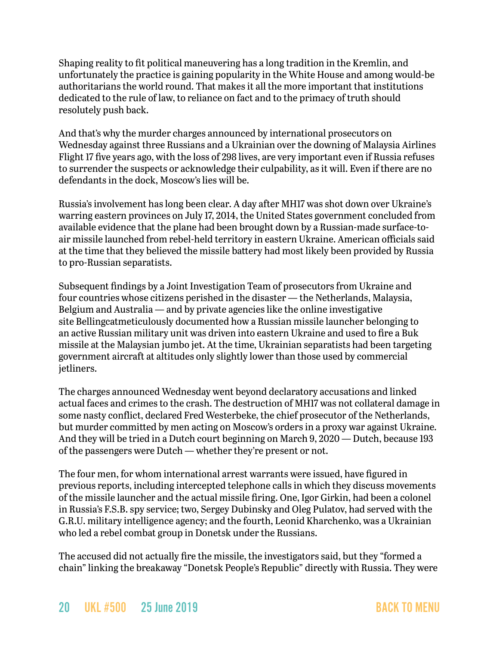Shaping reality to fit political maneuvering has a long tradition in the Kremlin, and unfortunately the practice is gaining popularity in the White House and among would-be authoritarians the world round. That makes it all the more important that institutions dedicated to the rule of law, to reliance on fact and to the primacy of truth should resolutely push back.

And that's why the murder charges announced by international prosecutors on Wednesday against three Russians and a Ukrainian over the downing of Malaysia Airlines Flight 17 five years ago, with the loss of 298 lives, are very important even if Russia refuses to surrender the suspects or acknowledge their culpability, as it will. Even if there are no defendants in the dock, Moscow's lies will be.

Russia's involvement has long been clear. A day after MH17 was shot down over Ukraine's warring eastern provinces on July 17, 2014, the United States government concluded from available evidence that the plane had been brought down by a Russian-made surface-toair missile launched from rebel-held territory in eastern Ukraine. American officials said at the time that they believed the missile battery had most likely been provided by Russia to pro-Russian separatists.

Subsequent findings by a Joint Investigation Team of prosecutors from Ukraine and four countries whose citizens perished in the disaster — the Netherlands, Malaysia, Belgium and Australia — and by private agencies like the online investigative site Bellingcatmeticulously documented how a Russian missile launcher belonging to an active Russian military unit was driven into eastern Ukraine and used to fire a Buk missile at the Malaysian jumbo jet. At the time, Ukrainian separatists had been targeting government aircraft at altitudes only slightly lower than those used by commercial jetliners.

The charges announced Wednesday went beyond declaratory accusations and linked actual faces and crimes to the crash. The destruction of MH17 was not collateral damage in some nasty conflict, declared Fred Westerbeke, the chief prosecutor of the Netherlands, but murder committed by men acting on Moscow's orders in a proxy war against Ukraine. And they will be tried in a Dutch court beginning on March 9, 2020 — Dutch, because 193 of the passengers were Dutch — whether they're present or not.

The four men, for whom international arrest warrants were issued, have figured in previous reports, including intercepted telephone calls in which they discuss movements of the missile launcher and the actual missile firing. One, Igor Girkin, had been a colonel in Russia's F.S.B. spy service; two, Sergey Dubinsky and Oleg Pulatov, had served with the G.R.U. military intelligence agency; and the fourth, Leonid Kharchenko, was a Ukrainian who led a rebel combat group in Donetsk under the Russians.

The accused did not actually fire the missile, the investigators said, but they "formed a chain" linking the breakaway "Donetsk People's Republic" directly with Russia. They were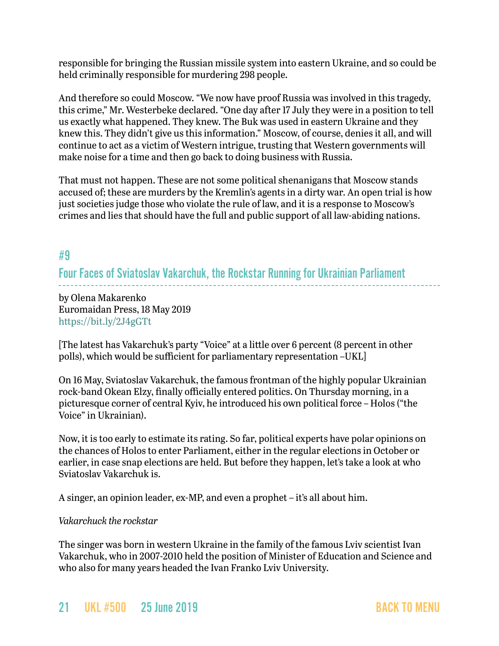responsible for bringing the Russian missile system into eastern Ukraine, and so could be held criminally responsible for murdering 298 people.

And therefore so could Moscow. "We now have proof Russia was involved in this tragedy, this crime," Mr. Westerbeke declared. "One day after 17 July they were in a position to tell us exactly what happened. They knew. The Buk was used in eastern Ukraine and they knew this. They didn't give us this information." Moscow, of course, denies it all, and will continue to act as a victim of Western intrigue, trusting that Western governments will make noise for a time and then go back to doing business with Russia.

That must not happen. These are not some political shenanigans that Moscow stands accused of; these are murders by the Kremlin's agents in a dirty war. An open trial is how just societies judge those who violate the rule of law, and it is a response to Moscow's crimes and lies that should have the full and public support of all law-abiding nations.

### <span id="page-20-0"></span>#9

Four Faces of Sviatoslav Vakarchuk, the Rockstar Running for Ukrainian Parliament

by Olena Makarenko Euromaidan Press, 18 May 2019 <https://bit.ly/2J4gGTt>

[The latest has Vakarchuk's party "Voice" at a little over 6 percent (8 percent in other polls), which would be sufficient for parliamentary representation –UKL]

On 16 May, Sviatoslav Vakarchuk, the famous frontman of the highly popular Ukrainian rock-band Okean Elzy, finally officially entered politics. On Thursday morning, in a picturesque corner of central Kyiv, he [introduced](https://www.radiosvoboda.org/a/news-vakarchuk-partiya-golos/29943979.html) his own political force – Holos ("the Voice" in Ukrainian).

Now, it is too early to estimate its rating. So far, political experts have polar opinions on the chances of Holos to enter Parliament, either in the regular elections in October or earlier, in case snap elections are held. But before they happen, let's take a look at who Sviatoslav Vakarchuk is.

A singer, an opinion leader, ex-MP, and even a prophet – it's all about him.

### *Vakarchuck the rockstar*

The singer was born in western Ukraine in the family of the famous Lviv scientist Ivan Vakarchuk, who in 2007-2010 held the position of Minister of Education and Science and who also for many years headed the Ivan Franko Lviv University.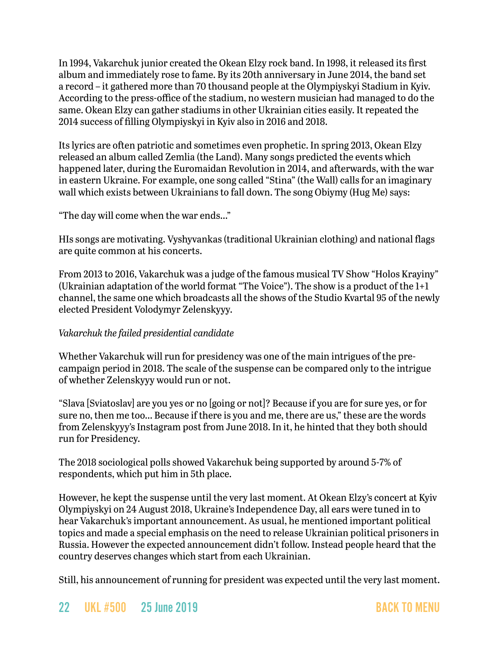In 1994, Vakarchuk junior created the Okean Elzy rock band. In 1998, it released its first album and immediately rose to fame. By its 20th anniversary in June 2014, the band set a [record](https://www.radiosvoboda.org/a/25431084.html) – it gathered more than 70 thousand people at the Olympiyskyi Stadium in Kyiv. According to the press-office of the stadium, no western musician had managed to do the same. Okean Elzy can gather stadiums in other Ukrainian cities easily. It repeated the 2014 success of filling Olympiyskyi in Kyiv also in 2016 and 2018.

Its lyrics are often patriotic and sometimes even prophetic. In spring 2013, Okean Elzy released an album called Zemlia (the Land). Many songs predicted the events which happened later, during the Euromaidan Revolution in 2014, and afterwards, with the war in eastern Ukraine. For example, one song called "Stina" (the Wall) calls for an imaginary wall which exists between Ukrainians to fall down. The song Obiymy (Hug Me) says:

"The day will come when the war ends…"

HIs songs are motivating. Vyshyvankas (traditional Ukrainian clothing) and national flags are quite common at his concerts.

From 2013 to 2016, Vakarchuk was a judge of the famous musical TV Show "Holos Krayiny" (Ukrainian adaptation of the world format "The Voice"). The show is a product of the 1+1 channel, the same one which broadcasts all the shows of the Studio Kvartal 95 of the newly elected President Volodymyr Zelenskyyy.

### *Vakarchuk the failed presidential candidate*

Whether Vakarchuk will run for presidency was one of the main intrigues of the precampaign period in 2018. The scale of the suspense can be compared only to the intrigue of whether Zelenskyyy would run or not.

"Slava [Sviatoslav] are you yes or no [going or not]? Because if you are for sure yes, or for sure no, then me too… Because if there is you and me, there are us," these are the words from Zelenskyyy's Instagram [post](https://www.instagram.com/p/BkkOzVUnPDt/?taken-by=zelenskiy_official) from June 2018. In it, he hinted that they both should run for Presidency.

The 2018 sociological polls showed Vakarchuk being supported by around 5-7% of respondents, which put him in 5th place.

However, he kept the suspense until the very last moment. At Okean Elzy's concert at Kyiv Olympiyskyi on 24 August 2018, Ukraine's Independence Day, all ears were tuned in to hear Vakarchuk's important announcement. As usual, he mentioned important political topics and made a special emphasis on the need to release Ukrainian political prisoners in Russia. However the expected announcement didn't follow. Instead people heard that the country [deserves](https://novynarnia.com/2018/08/25/slava-ukrayini-vakarchuk-na-ostannomu-kontserti-faktichno-pishov-u-politiki-video/) changes which start from each Ukrainian.

Still, his announcement of running for president was expected until the very last moment.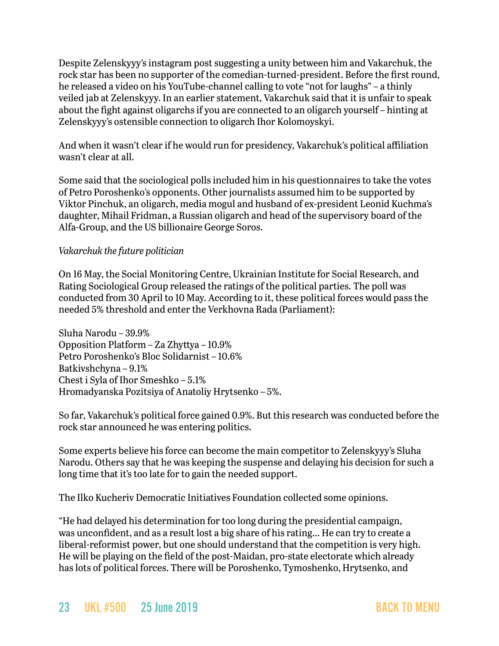Despite Zelenskyyy's instagram post suggesting a unity between him and Vakarchuk, the rock star has been no supporter of the comedian-turned-president. Before the first round, he released a [video](https://www.youtube.com/watch?v=DVGn9brDOic) on his YouTube-channel calling to vote "not for laughs" – a thinly veiled jab at Zelenskyyy. In an earlier [statement,](https://ukr.lb.ua/news/2019/02/12/419509_vakarchuk_pro_zelenskogo_koli_ti.html) Vakarchuk said that it is unfair to speak about the fight against oligarchs if you are connected to an oligarch yourself – hinting at Zelenskyyy's ostensible connection to oligarch Ihor Kolomoyskyi.

And when it wasn't clear if he would run for presidency, Vakarchuk's political affiliation wasn't clear at all.

Some [said](https://strana.ua/articles/148511-reshil-li-svjatoslav-vakarchuk-borotsja-za-post-prezidenta.html) that the sociological polls included him in his questionnaires to take the votes of Petro Poroshenko's opponents. Other journalists [assumed](https://vgolos.com.ua/articles/chy-pogodytsya-vakarchuk-staty-marionetkoyu_316101.html) him to be supported by Viktor Pinchuk, an oligarch, media mogul and husband of ex-president Leonid Kuchma's daughter, Mihail Fridman, a Russian oligarch and head of the supervisory board of the Alfa-Group, and the US billionaire George Soros.

### *Vakarchuk the future politician*

On 16 May, the Social Monitoring Centre, Ukrainian Institute for Social Research, and Rating Sociological Group [released t](http://ratinggroup.ua/research/ukraine/ukraina_segodnya_vyzovy_i_perspektivy.html)he ratings of the political parties. The poll was conducted from 30 April to 10 May. According to it, these political forces would pass the needed 5% threshold and enter the Verkhovna Rada (Parliament):

Sluha Narodu – 39.9% Opposition Platform – Za Zhyttya – 10.9% Petro Poroshenko's Bloc Solidarnist – 10.6% Batkivshchyna – 9.1% Chest i Syla of Ihor Smeshko – 5.1% Hromadyanska Pozitsiya of Anatoliy Hrytsenko – 5%.

So far, Vakarchuk's political force gained 0.9%. But this research was conducted before the rock star announced he was entering politics.

Some experts believe his force can become the main competitor to Zelenskyyy's Sluha Narodu. Others say that he was keeping the suspense and delaying his decision for such a long time that it's too late for to gain the needed support.

The Ilko Kucheriv Democratic Initiatives Foundation [collected](https://dif.org.ua/article/chi-znayde-golos-golosi-analitiki-deminitsiativ) some opinions.

"He had delayed his determination for too long during the presidential campaign, was unconfident, and as a result lost a big share of his rating… He can try to create a liberal-reformist power, but one should understand that the competition is very high. He will be playing on the field of the post-Maidan, pro-state electorate which already has lots of political forces. There will be Poroshenko, Tymoshenko, Hrytsenko, and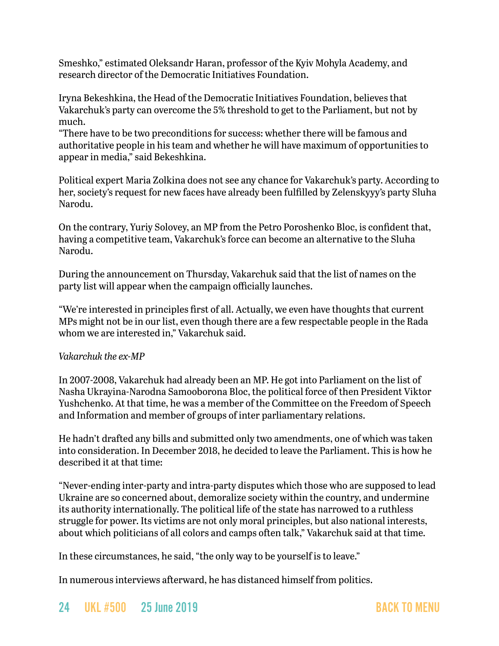Smeshko," estimated Oleksandr Haran, professor of the Kyiv Mohyla Academy, and research director of the Democratic Initiatives Foundation.

Iryna Bekeshkina, the Head of the Democratic Initiatives Foundation, believes that Vakarchuk's party can overcome the 5% threshold to get to the Parliament, but not by much.

"There have to be two preconditions for success: whether there will be famous and authoritative people in his team and whether he will have maximum of opportunities to appear in media," said Bekeshkina.

Political expert Maria Zolkina does not see any chance for Vakarchuk's party. According to her, society's request for new faces have already been fulfilled by Zelenskyyy's party Sluha Narodu.

On the contrary, Yuriy Solovey, an MP from the Petro Poroshenko Bloc, is [confident t](https://zik.ua/ru/news/2019/05/16/kak_poyavlenye_v_polytyke_vakarchuka_povlyyaet_na_reytyng_zelenskogo__1573425)hat, having a competitive team, Vakarchuk's force can become an alternative to the Sluha Narodu.

During the announcement on Thursday, Vakarchuk said that the list of names on the party list will appear when the campaign officially launches.

"We're interested in principles first of all. Actually, we even have thoughts that current MPs might not be in our list, even though there are a few respectable people in the Rada whom we are interested in," Vakarchuk said.

### *Vakarchuk the ex-MP*

In 2007-2008, Vakarchuk had already been an MP. He got into Parliament on the list of Nasha Ukrayina-Narodna Samooborona Bloc, the political force of then President Viktor Yushchenko. At that time, he was a member of the Committee on the Freedom of Speech and Information and member of groups of inter parliamentary relations.

He hadn't drafted any bills and submitted only two amendments, one of which was taken into consideration. In December 2018, he decided to leave the Parliament. This is how he described it at that time:

"Never-ending inter-party and intra-party disputes which those who are supposed to lead Ukraine are so concerned about, demoralize society within the country, and undermine its authority internationally. The political life of the state has narrowed to a ruthless struggle for power. Its victims are not only moral principles, but also national interests, about which politicians of all colors and camps often talk," Vakarchuk said at that time.

In these circumstances, he said, "the only way to be yourself is to leave."

In numerous interviews afterward, he has distanced himself from politics.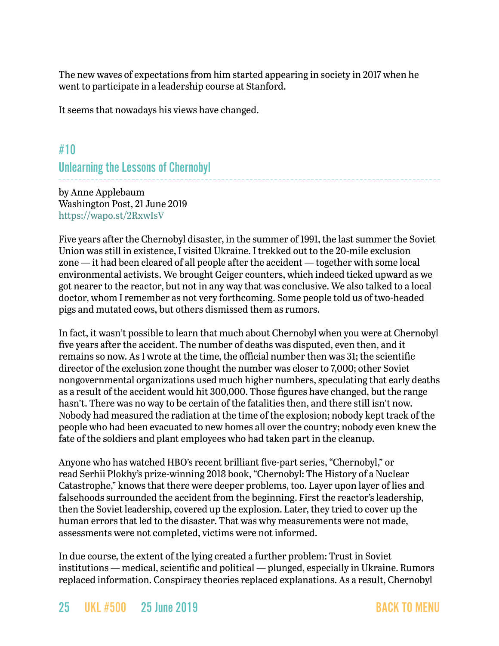The new waves of expectations from him started appearing in society in 2017 when he went to participate in a leadership course at Stanford.

It seems that nowadays his views have changed.

## <span id="page-24-0"></span>#10

## Unlearning the Lessons of Chernobyl

by Anne Applebaum Washington Post, 21 June 2019 <https://wapo.st/2RxwIsV>

Five years after the Chernobyl disaster, in the summer of 1991, the last summer the Soviet Union was still in existence, I visited Ukraine. I trekked out to the 20-mile exclusion zone — it had been cleared of all people after the accident — together with some local environmental activists. We brought Geiger counters, which indeed ticked upward as we got nearer to the reactor, but not in any way that was conclusive. We also talked to a local doctor, whom I remember as not very forthcoming. Some people told us of two-headed pigs and mutated cows, but others dismissed them as rumors.

In fact, it wasn't possible to learn that much about Chernobyl when you were at Chernobyl five years after the accident. The number of deaths was disputed, even then, and it remains so now. As I wrote at the time, the official number then was 31; the scientific director of the exclusion zone thought the number was closer to 7,000; other Soviet nongovernmental organizations used much higher numbers, speculating that early deaths as a result of the accident would hit 300,000. Those figures have changed, but the range hasn't. There was no way to be certain of the fatalities then, and there still isn't now. Nobody had measured the radiation at the time of the explosion; nobody kept track of the people who had been evacuated to new homes all over the country; nobody even knew the fate of the soldiers and plant employees who had taken part in the cleanup.

Anyone who has watched HBO's recent brilliant five-part series, "Chernobyl," or read Serhii Plokhy's prize-winning 2018 book, "Chernobyl: The History of a Nuclear Catastrophe," knows that there were deeper problems, too. Layer upon layer of lies and falsehoods surrounded the accident from the beginning. First the reactor's leadership, then the Soviet leadership, covered up the explosion. Later, they tried to cover up the human errors that led to the disaster. That was why measurements were not made, assessments were not completed, victims were not informed.

In due course, the extent of the lying created a further problem: Trust in Soviet institutions — medical, scientific and political — plunged, especially in Ukraine. Rumors replaced information. Conspiracy theories replaced explanations. As a result, Chernobyl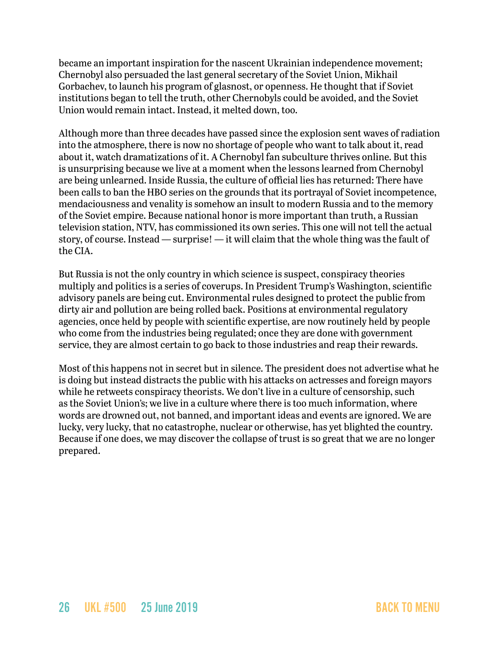became an important inspiration for the nascent Ukrainian independence movement; Chernobyl also persuaded the last general secretary of the Soviet Union, Mikhail Gorbachev, to launch his program of glasnost, or openness. He thought that if Soviet institutions began to tell the truth, other Chernobyls could be avoided, and the Soviet Union would remain intact. Instead, it melted down, too.

Although more than three decades have passed since the explosion sent waves of radiation into the atmosphere, there is now no shortage of people who want to talk about it, read about it, watch dramatizations of it. A Chernobyl fan subculture thrives online. But this is unsurprising because we live at a moment when the lessons learned from Chernobyl are being unlearned. Inside Russia, the culture of official lies has returned: There have been calls to ban the HBO series on the grounds that its portrayal of Soviet incompetence, mendaciousness and venality is somehow an insult to modern Russia and to the memory of the Soviet empire. Because national honor is more important than truth, a Russian television station, NTV, has commissioned its own series. This one will not tell the actual story, of course. Instead — surprise! — it will claim that the whole thing was the fault of the CIA.

But Russia is not the only country in which science is suspect, conspiracy theories multiply and politics is a series of coverups. In President Trump's Washington, scientific advisory panels are being cut. Environmental rules designed to protect the public from dirty air and pollution are being rolled back. Positions at environmental regulatory agencies, once held by people with scientific expertise, are now routinely held by people who come from the industries being regulated; once they are done with government service, they are almost certain to go back to those industries and reap their rewards.

Most of this happens not in secret but in silence. The president does not advertise what he is doing but instead distracts the public with his attacks on actresses and foreign mayors while he retweets conspiracy theorists. We don't live in a culture of censorship, such as the Soviet Union's; we live in a culture where there is too much information, where words are drowned out, not banned, and important ideas and events are ignored. We are lucky, very lucky, that no catastrophe, nuclear or otherwise, has yet blighted the country. Because if one does, we may discover the collapse of trust is so great that we are no longer prepared.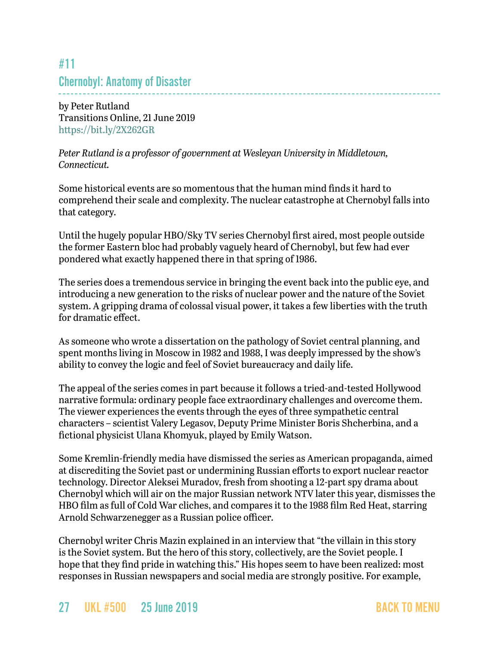# <span id="page-26-0"></span>#11 Chernobyl: Anatomy of Disaster

by Peter Rutland Transitions Online, 21 June 2019 <https://bit.ly/2X262GR>

*Peter Rutland is a professor of government at Wesleyan University in Middletown, Connecticut.*

Some historical events are so momentous that the human mind finds it hard to comprehend their scale and complexity. The nuclear catastrophe at Chernobyl falls into that category.

Until the hugely popular HBO/Sky TV series Chernobyl first aired, most people outside the former Eastern bloc had probably vaguely heard of Chernobyl, but few had ever pondered what exactly happened there in that spring of 1986.

The series does a tremendous service in bringing the event back into the public eye, and introducing a new generation to the risks of nuclear power and the nature of the Soviet system. A gripping drama of colossal visual power, it takes a few liberties with the truth for dramatic effect.

As someone who wrote a dissertation on the pathology of Soviet central planning, and spent months living in Moscow in 1982 and 1988, I was deeply impressed by the show's ability to convey the logic and feel of Soviet bureaucracy and daily life.

The appeal of the series comes in part because it follows a tried-and-tested Hollywood narrative formula: ordinary people face extraordinary challenges and overcome them. The viewer experiences the events through the eyes of three sympathetic central characters – scientist Valery Legasov, Deputy Prime Minister Boris Shcherbina, and a fictional physicist Ulana Khomyuk, played by Emily Watson.

Some Kremlin-friendly media have dismissed the series as American propaganda, aimed at discrediting the Soviet past or undermining Russian efforts to export nuclear reactor technology. Director Aleksei Muradov, fresh from shooting a 12-part spy drama about Chernobyl which will air on the major Russian network NTV later this year, dismisses the HBO film as full of Cold War cliches, and compares it to the 1988 film Red Heat, starring Arnold Schwarzenegger as a Russian police officer.

Chernobyl writer Chris Mazin explained in an interview that "the villain in this story is the Soviet system. But the hero of this story, collectively, are the Soviet people. I hope that they find pride in watching this." His hopes seem to have been realized: most responses in Russian newspapers and social media are strongly positive. For example,

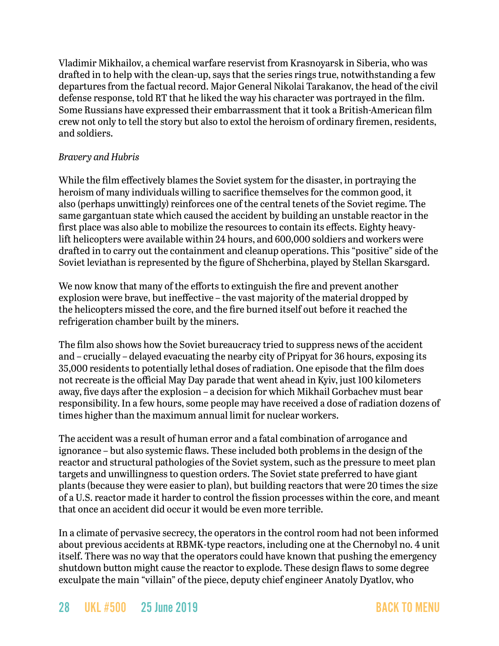Vladimir Mikhailov, a chemical warfare reservist from Krasnoyarsk in Siberia, who was drafted in to help with the clean-up, says that the series rings true, notwithstanding a few departures from the factual record. Major General Nikolai Tarakanov, the head of the civil defense response, told RT that he liked the way his character was portrayed in the film. Some Russians have expressed their embarrassment that it took a British-American film crew not only to tell the story but also to extol the heroism of ordinary firemen, residents, and soldiers.

### *Bravery and Hubris*

While the film effectively blames the Soviet system for the disaster, in portraying the heroism of many individuals willing to sacrifice themselves for the common good, it also (perhaps unwittingly) reinforces one of the central tenets of the Soviet regime. The same gargantuan state which caused the accident by building an unstable reactor in the first place was also able to mobilize the resources to contain its effects. Eighty heavylift helicopters were available within 24 hours, and 600,000 soldiers and workers were drafted in to carry out the containment and cleanup operations. This "positive" side of the Soviet leviathan is represented by the figure of Shcherbina, played by Stellan Skarsgard.

We now know that many of the efforts to extinguish the fire and prevent another explosion were brave, but ineffective – the vast majority of the material dropped by the helicopters missed the core, and the fire burned itself out before it reached the refrigeration chamber built by the miners.

The film also shows how the Soviet bureaucracy tried to suppress news of the accident and – crucially – delayed evacuating the nearby city of Pripyat for 36 hours, exposing its 35,000 residents to potentially lethal doses of radiation. One episode that the film does not recreate is the official May Day parade that went ahead in Kyiv, just 100 kilometers away, five days after the explosion – a decision for which Mikhail Gorbachev must bear responsibility. In a few hours, some people may have received a dose of radiation dozens of times higher than the maximum annual limit for nuclear workers.

The accident was a result of human error and a fatal combination of arrogance and ignorance – but also systemic flaws. These included both problems in the design of the reactor and structural pathologies of the Soviet system, such as the pressure to meet plan targets and unwillingness to question orders. The Soviet state preferred to have giant plants (because they were easier to plan), but building reactors that were 20 times the size of a U.S. reactor made it harder to control the fission processes within the core, and meant that once an accident did occur it would be even more terrible.

In a climate of pervasive secrecy, the operators in the control room had not been informed about previous accidents at RBMK-type reactors, including one at the Chernobyl no. 4 unit itself. There was no way that the operators could have known that pushing the emergency shutdown button might cause the reactor to explode. These design flaws to some degree exculpate the main "villain" of the piece, deputy chief engineer Anatoly Dyatlov, who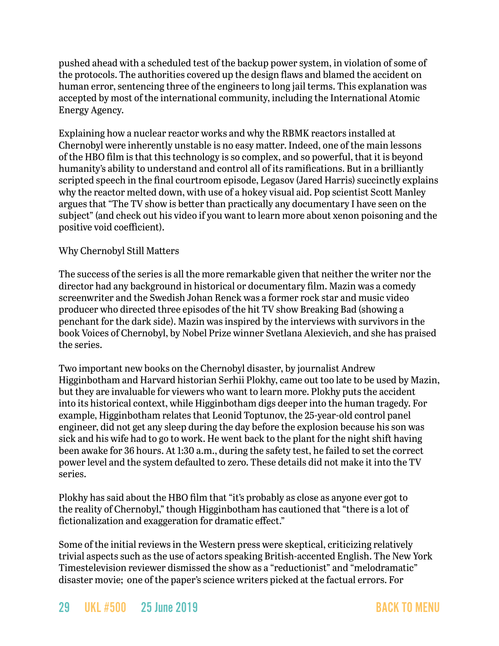pushed ahead with a scheduled test of the backup power system, in violation of some of the protocols. The authorities covered up the design flaws and blamed the accident on human error, sentencing three of the engineers to long jail terms. This explanation was accepted by most of the international community, including the International Atomic Energy Agency.

Explaining how a nuclear reactor works and why the RBMK reactors installed at Chernobyl were inherently unstable is no easy matter. Indeed, one of the main lessons of the HBO film is that this technology is so complex, and so powerful, that it is beyond humanity's ability to understand and control all of its ramifications. But in a brilliantly scripted speech in the final courtroom episode, Legasov (Jared Harris) succinctly explains why the reactor melted down, with use of a hokey visual aid. Pop scientist Scott Manley argues that "The TV show is better than practically any documentary I have seen on the subject" (and check out his video if you want to learn more about xenon poisoning and the positive void coefficient).

### Why Chernobyl Still Matters

The success of the series is all the more remarkable given that neither the writer nor the director had any background in historical or documentary film. Mazin was a comedy screenwriter and the Swedish Johan Renck was a former rock star and music video producer who directed three episodes of the hit TV show Breaking Bad (showing a penchant for the dark side). Mazin was inspired by the interviews with survivors in the book Voices of Chernobyl, by Nobel Prize winner Svetlana Alexievich, and she has praised the series.

Two important new books on the Chernobyl disaster, by journalist Andrew Higginbotham and Harvard historian Serhii Plokhy, came out too late to be used by Mazin, but they are invaluable for viewers who want to learn more. Plokhy puts the accident into its historical context, while Higginbotham digs deeper into the human tragedy. For example, Higginbotham relates that Leonid Toptunov, the 25-year-old control panel engineer, did not get any sleep during the day before the explosion because his son was sick and his wife had to go to work. He went back to the plant for the night shift having been awake for 36 hours. At 1:30 a.m., during the safety test, he failed to set the correct power level and the system defaulted to zero. These details did not make it into the TV series.

Plokhy has said about the HBO film that "it's probably as close as anyone ever got to the reality of Chernobyl," though Higginbotham has cautioned that "there is a lot of fictionalization and exaggeration for dramatic effect."

Some of the initial reviews in the Western press were skeptical, criticizing relatively trivial aspects such as the use of actors speaking British-accented English. The New York Timestelevision reviewer dismissed the show as a "reductionist" and "melodramatic" disaster movie; one of the paper's science writers picked at the factual errors. For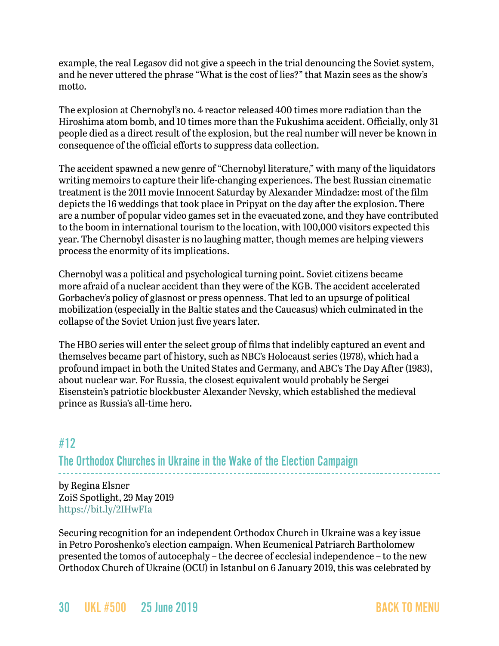example, the real Legasov did not give a speech in the trial denouncing the Soviet system, and he never uttered the phrase "What is the cost of lies?" that Mazin sees as the show's motto.

The explosion at Chernobyl's no. 4 reactor released 400 times more radiation than the Hiroshima atom bomb, and 10 times more than the Fukushima accident. Officially, only 31 people died as a direct result of the explosion, but the real number will never be known in consequence of the official efforts to suppress data collection.

The accident spawned a new genre of "Chernobyl literature," with many of the liquidators writing memoirs to capture their life-changing experiences. The best Russian cinematic treatment is the 2011 movie Innocent Saturday by Alexander Mindadze: most of the film depicts the 16 weddings that took place in Pripyat on the day after the explosion. There are a number of popular video games set in the evacuated zone, and they have contributed to the boom in international tourism to the location, with 100,000 visitors expected this year. The Chernobyl disaster is no laughing matter, though memes are helping viewers process the enormity of its implications.

Chernobyl was a political and psychological turning point. Soviet citizens became more afraid of a nuclear accident than they were of the KGB. The accident accelerated Gorbachev's policy of glasnost or press openness. That led to an upsurge of political mobilization (especially in the Baltic states and the Caucasus) which culminated in the collapse of the Soviet Union just five years later.

The HBO series will enter the select group of films that indelibly captured an event and themselves became part of history, such as NBC's Holocaust series (1978), which had a profound impact in both the United States and Germany, and ABC's The Day After (1983), about nuclear war. For Russia, the closest equivalent would probably be Sergei Eisenstein's patriotic blockbuster Alexander Nevsky, which established the medieval prince as Russia's all-time hero.

## <span id="page-29-0"></span>#12

The Orthodox Churches in Ukraine in the Wake of the Election Campaign

by Regina Elsner ZoiS Spotlight, 29 May 2019 <https://bit.ly/2IHwFIa>

Securing recognition for an independent Orthodox Church in Ukraine was a key issue in Petro Poroshenko's election campaign. When Ecumenical Patriarch Bartholomew presented the [tomos](https://www.bbc.com/news/world-europe-46768270) of autocephaly – the decree of ecclesial independence – to the new Orthodox Church of Ukraine (OCU) in Istanbul on 6 January 2019, this was celebrated by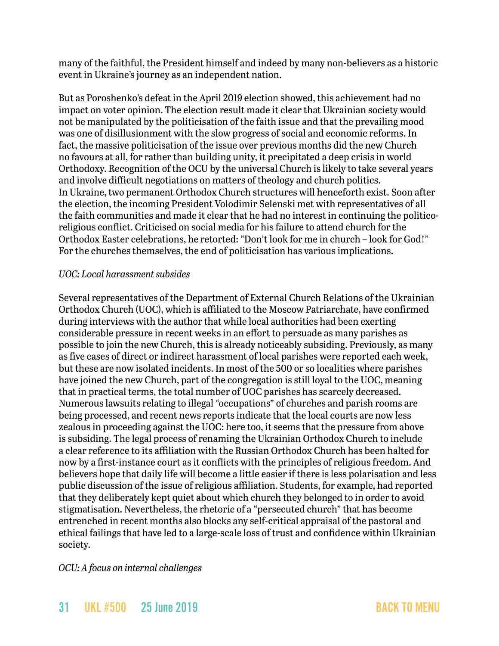many of the faithful, the President himself and indeed by many non-believers as a historic event in Ukraine's journey as an independent nation.

But as Poroshenko's defeat in the April 2019 election showed, this achievement had no impact on voter opinion. The election result made it clear that Ukrainian society would not be manipulated by the politicisation of the faith issue and that the prevailing mood was one of disillusionment with the slow progress of social and economic reforms. In fact, the massive politicisation of the issue over previous months did the new Church no favours at all, for rather than building unity, it precipitated a [deep crisis in world](https://international.la-croix.com/news/the-ukrainian-issue-fractures-the-orthodox-world/9336)  [Orthodoxy.](https://international.la-croix.com/news/the-ukrainian-issue-fractures-the-orthodox-world/9336) Recognition of the OCU by the universal Church is likely to take several years and involve difficult negotiations on matters of theology and church politics. In Ukraine, two permanent Orthodox Church structures will henceforth exist. Soon after the election, the incoming President Volodimir Selenski met with representatives of all the faith communities and made it clear that he had no interest in continuing the politicoreligious conflict. Criticised on social media for his failure to attend church for the Orthodox Easter celebrations, he retorted: "Don't look for me in church – look for God!" For the churches themselves, the end of politicisation has various implications.

### *UOC: Local harassment subsides*

Several representatives of the Department of External Church Relations of the Ukrainian Orthodox Church (UOC), which is affiliated to the Moscow Patriarchate, have confirmed during interviews with the author that while local authorities had been exerting considerable pressure in recent weeks in an effort to persuade as many parishes as possible to join the new Church, this is already noticeably subsiding. Previously, as many as five cases of direct or indirect harassment of local parishes were reported each week, but these are now isolated incidents. In most of the 500 or so localities where parishes have joined the new Church, part of the congregation is still loyal to the UOC, meaning that in practical terms, the total number of UOC parishes has scarcely decreased. Numerous lawsuits relating to illegal "occupations" of churches and parish rooms are being processed, and recent news reports indicate that the local courts are now less zealous in proceeding against the UOC: here too, it seems that the pressure from above is subsiding. The legal process of renaming the Ukrainian Orthodox Church to include a clear reference to its affiliation with the Russian Orthodox Church has been halted for now by a first-instance court as it conflicts with the principles of religious freedom. And believers hope that daily life will become a little easier if there is less polarisation and less public discussion of the issue of religious affiliation. Students, for example, had reported that they deliberately kept quiet about which church they belonged to in order to avoid stigmatisation. Nevertheless, the rhetoric of a "[persecuted church"](http://vzcz.church.ua/2019/04/03/statement-of-the-holy-synod-of-the-ukrainian-orthodox-church-on-the-current-situation-in-ukrainian-and-world-orthodoxy/?lang=en) that has become entrenched in recent months also blocks any self-critical appraisal of the pastoral and ethical failings that have led to a large-scale loss of trust and confidence within Ukrainian society.

### *OCU: A focus on internal challenges*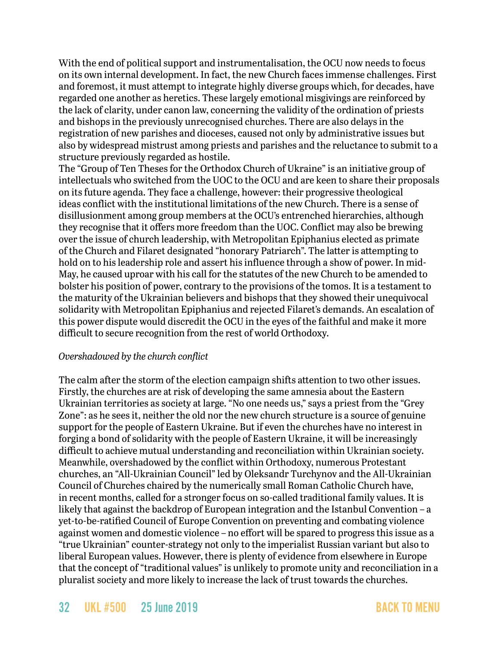With the end of political support and instrumentalisation, the OCU now needs to focus on its own internal development. In fact, the new Church faces immense challenges. First and foremost, it must attempt to integrate highly diverse groups which, for decades, have regarded one another as heretics. These largely emotional misgivings are reinforced by the lack of clarity, under canon law, concerning the validity of the ordination of priests and bishops in the previously unrecognised churches. There are also delays in the registration of new parishes and dioceses, caused not only by administrative issues but also by widespread mistrust among priests and parishes and the reluctance to submit to a structure previously regarded as hostile.

The "Group of Ten Theses for the Orthodox Church of Ukraine" is an initiative group of intellectuals who switched from the UOC to the OCU and are keen to share their proposals on its future agenda. They face a challenge, however: their progressive theological ideas conflict with the institutional limitations of the new Church. There is a sense of disillusionment among group members at the OCU's entrenched hierarchies, although they recognise that it offers more freedom than the UOC. Conflict may also be brewing over the issue of [church leadership](https://www.rferl.org/a/ukrainian-church-leaders-meet-amid-power-struggle/29960665.html), with Metropolitan Epiphanius elected as primate of the Church and Filaret designated "honorary Patriarch". The latter is attempting to hold on to his leadership role and assert his influence through a show of power. In mid-May, he caused uproar with his call for the statutes of the new Church to be amended to bolster his position of power, contrary to the provisions of the tomos. It is a testament to the maturity of the Ukrainian believers and bishops that they showed their unequivocal solidarity with Metropolitan Epiphanius and rejected Filaret's demands. An escalation of this power dispute would discredit the OCU in the eyes of the faithful and make it more difficult to secure recognition from the rest of world Orthodoxy.

### *Overshadowed by the church conflict*

The calm after the storm of the election campaign shifts attention to two other issues. Firstly, the churches are at risk of developing the same amnesia about the Eastern Ukrainian territories as society at large. "No one needs us," says a priest from the "Grey Zone": as he sees it, neither the old nor the new church structure is a source of genuine support for the people of Eastern Ukraine. But if even the churches have no interest in forging a bond of solidarity with the people of Eastern Ukraine, it will be increasingly difficult to achieve mutual understanding and reconciliation within Ukrainian society. Meanwhile, overshadowed by the conflict within Orthodoxy, numerous Protestant churches, an "All-Ukrainian Council" led by Oleksandr Turchynov and the All-Ukrainian Council of Churches chaired by the numerically small Roman Catholic Church have, in recent months, called for a stronger focus on so-called traditional family values. It is likely that against the backdrop of European integration and the Istanbul Convention – a yet-to-be-ratified Council of Europe Convention on preventing and combating violence against women and domestic violence – no effort will be spared to progress this issue as a "true Ukrainian" counter-strategy not only to the imperialist Russian variant but also to liberal European values. However, there is plenty of evidence from elsewhere in Europe that the concept of "traditional values" is unlikely to promote unity and reconciliation in a pluralist society and more likely to increase the lack of trust towards the churches.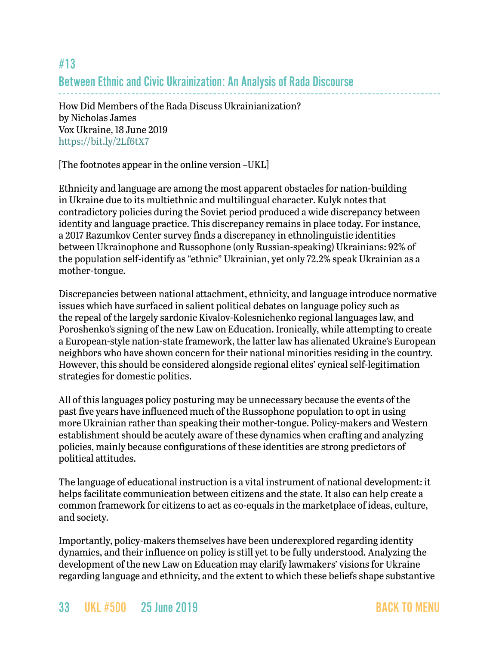# <span id="page-32-0"></span>#13 Between Ethnic and Civic Ukrainization: An Analysis of Rada Discourse

How Did Members of the Rada Discuss Ukrainianization? by Nicholas James Vox Ukraine, 18 June 2019 <https://bit.ly/2Lf6tX7>

[The footnotes appear in the online version –UKL]

Ethnicity and language are among the most apparent obstacles for nation-building in Ukraine due to its multiethnic and multilingual character. Kulyk notes that contradictory policies during the Soviet period produced a wide discrepancy between identity and language practice. This discrepancy remains in place today. For instance, a 2017 Razumkov Center survey finds a discrepancy in ethnolinguistic identities between Ukrainophone and Russophone (only Russian-speaking) Ukrainians: 92% of the population self-identify as "ethnic" Ukrainian, yet only 72.2% speak Ukrainian as a mother-tongue.

Discrepancies between national attachment, ethnicity, and language introduce normative issues which have surfaced in salient political debates on language policy such as the repeal of the largely sardonic Kivalov-Kolesnichenko regional languages law, and Poroshenko's signing of the new Law on Education. Ironically, while attempting to create a European-style nation-state framework, the latter law has alienated Ukraine's European neighbors who have shown concern for their national minorities residing in the country. However, this should be considered alongside regional elites' cynical self-legitimation strategies for domestic politics.

All of this languages policy posturing may be unnecessary because the events of the past five years have influenced much of the Russophone population to opt in using more Ukrainian rather than speaking their mother-tongue. Policy-makers and Western establishment should be acutely aware of these dynamics when crafting and analyzing policies, mainly because configurations of these identities are strong predictors of political attitudes.

The language of educational instruction is a vital instrument of national development: it helps facilitate communication between citizens and the state. It also can help create a common framework for citizens to act as co-equals in the marketplace of ideas, culture, and society.

Importantly, policy-makers themselves have been underexplored regarding identity dynamics, and their influence on policy is still yet to be fully understood. Analyzing the development of the new Law on Education may clarify lawmakers' visions for Ukraine regarding language and ethnicity, and the extent to which these beliefs shape substantive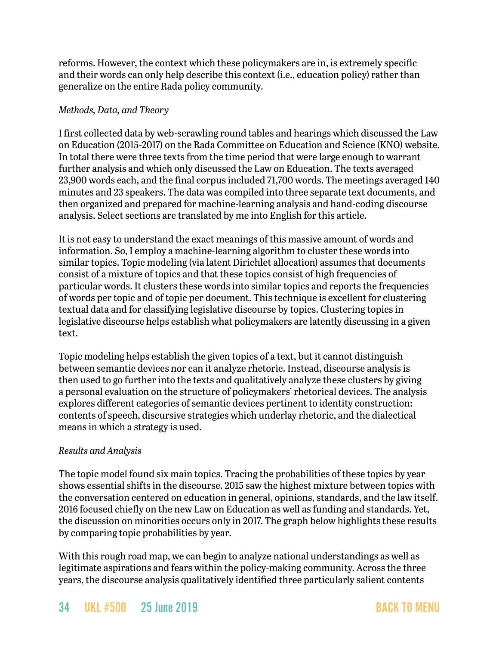reforms. However, the context which these policymakers are in, is extremely specific and their words can only help describe this context (i.e., education policy) rather than generalize on the entire Rada policy community.

### *Methods, Data, and Theory*

I first collected data by web-scrawling round tables and hearings which discussed the Law on Education (2015-2017) on the Rada Committee on Education and Science (KNO) website. In total there were three texts from the time period that were large enough to warrant further analysis and which only discussed the Law on Education. The texts averaged 23,900 words each, and the final corpus included 71,700 words. The meetings averaged 140 minutes and 23 speakers. The data was compiled into three separate text documents, and then organized and prepared for machine-learning analysis and hand-coding discourse analysis. Select sections are translated by me into English for this article.

It is not easy to understand the exact meanings of this massive amount of words and information. So, I employ a machine-learning algorithm to cluster these words into similar topics. Topic modeling (via latent Dirichlet allocation) assumes that documents consist of a mixture of topics and that these topics consist of high frequencies of particular words. It clusters these words into similar topics and reports the frequencies of words per topic and of topic per document. This technique is excellent for clustering textual data and for classifying legislative discourse by topics. Clustering topics in legislative discourse helps establish what policymakers are latently discussing in a given text.

Topic modeling helps establish the given topics of a text, but it cannot distinguish between semantic devices nor can it analyze rhetoric. Instead, discourse analysis is then used to go further into the texts and qualitatively analyze these clusters by giving a personal evaluation on the structure of policymakers' rhetorical devices. The analysis explores different categories of semantic devices pertinent to identity construction: contents of speech, discursive strategies which underlay rhetoric, and the dialectical means in which a strategy is used.

### *Results and Analysis*

The topic model found six main topics. Tracing the probabilities of these topics by year shows essential shifts in the discourse. 2015 saw the highest mixture between topics with the conversation centered on education in general, opinions, standards, and the law itself. 2016 focused chiefly on the new Law on Education as well as funding and standards. Yet, the discussion on minorities occurs only in 2017. The graph below highlights these results by comparing topic probabilities by year.

With this rough road map, we can begin to analyze national understandings as well as legitimate aspirations and fears within the policy-making community. Across the three years, the discourse analysis qualitatively identified three particularly salient contents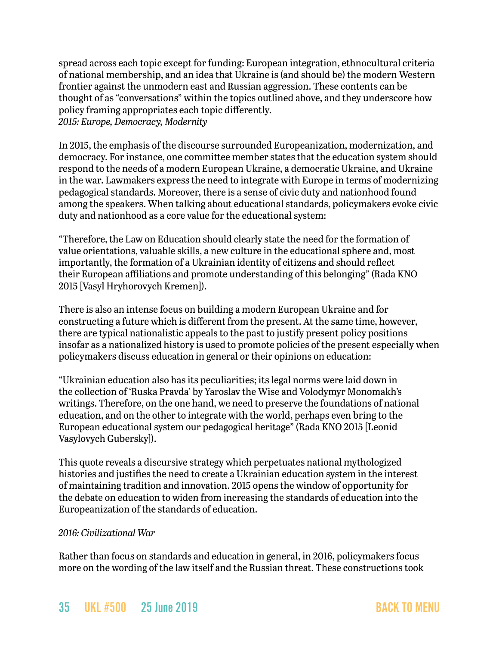spread across each topic except for funding: European integration, ethnocultural criteria of national membership, and an idea that Ukraine is (and should be) the modern Western frontier against the unmodern east and Russian aggression. These contents can be thought of as "conversations" within the topics outlined above, and they underscore how policy framing appropriates each topic differently. *2015: Europe, Democracy, Modernity*

In 2015, the emphasis of the discourse surrounded Europeanization, modernization, and democracy. For instance, one committee member states that the education system should respond to the needs of a modern European Ukraine, a democratic Ukraine, and Ukraine in the war. Lawmakers express the need to integrate with Europe in terms of modernizing pedagogical standards. Moreover, there is a sense of civic duty and nationhood found among the speakers. When talking about educational standards, policymakers evoke civic duty and nationhood as a core value for the educational system:

"Therefore, the Law on Education should clearly state the need for the formation of value orientations, valuable skills, a new culture in the educational sphere and, most importantly, the formation of a Ukrainian identity of citizens and should reflect their European affiliations and promote understanding of this belonging" (Rada KNO 2015 [Vasyl Hryhorovych Kremen]).

There is also an intense focus on building a modern European Ukraine and for constructing a future which is different from the present. At the same time, however, there are typical nationalistic appeals to the past to justify present policy positions insofar as a nationalized history is used to promote policies of the present especially when policymakers discuss education in general or their opinions on education:

"Ukrainian education also has its peculiarities; its legal norms were laid down in the collection of 'Ruska Pravda' by Yaroslav the Wise and Volodymyr Monomakh's writings. Therefore, on the one hand, we need to preserve the foundations of national education, and on the other to integrate with the world, perhaps even bring to the European educational system our pedagogical heritage" (Rada KNO 2015 [Leonid Vasylovych Gubersky]).

This quote reveals a discursive strategy which perpetuates national mythologized histories and justifies the need to create a Ukrainian education system in the interest of maintaining tradition and innovation. 2015 opens the window of opportunity for the debate on education to widen from increasing the standards of education into the Europeanization of the standards of education.

### *2016: Civilizational War*

Rather than focus on standards and education in general, in 2016, policymakers focus more on the wording of the law itself and the Russian threat. These constructions took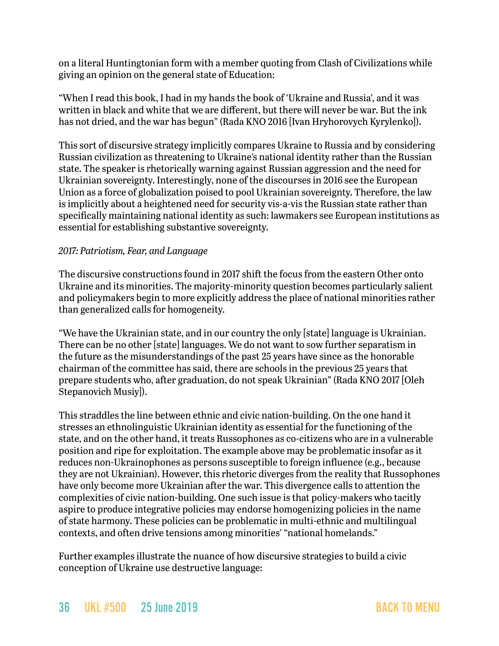on a literal Huntingtonian form with a member quoting from Clash of Civilizations while giving an opinion on the general state of Education:

"When I read this book, I had in my hands the book of 'Ukraine and Russia', and it was written in black and white that we are different, but there will never be war. But the ink has not dried, and the war has begun" (Rada KNO 2016 [Ivan Hryhorovych Kyrylenko]).

This sort of discursive strategy implicitly compares Ukraine to Russia and by considering Russian civilization as threatening to Ukraine's national identity rather than the Russian state. The speaker is rhetorically warning against Russian aggression and the need for Ukrainian sovereignty. Interestingly, none of the discourses in 2016 see the European Union as a force of globalization poised to pool Ukrainian sovereignty. Therefore, the law is implicitly about a heightened need for security vis-a-vis the Russian state rather than specifically maintaining national identity as such: lawmakers see European institutions as essential for establishing substantive sovereignty.

### *2017: Patriotism, Fear, and Language*

The discursive constructions found in 2017 shift the focus from the eastern Other onto Ukraine and its minorities. The majority-minority question becomes particularly salient and policymakers begin to more explicitly address the place of national minorities rather than generalized calls for homogeneity.

"We have the Ukrainian state, and in our country the only [state] language is Ukrainian. There can be no other [state] languages. We do not want to sow further separatism in the future as the misunderstandings of the past 25 years have since as the honorable chairman of the committee has said, there are schools in the previous 25 years that prepare students who, after graduation, do not speak Ukrainian" (Rada KNO 2017 [Oleh Stepanovich Musiy]).

This straddles the line between ethnic and civic nation-building. On the one hand it stresses an ethnolinguistic Ukrainian identity as essential for the functioning of the state, and on the other hand, it treats Russophones as co-citizens who are in a vulnerable position and ripe for exploitation. The example above may be problematic insofar as it reduces non-Ukrainophones as persons susceptible to foreign influence (e.g., because they are not Ukrainian). However, this rhetoric diverges from the reality that Russophones have only become more Ukrainian after the war. This divergence calls to attention the complexities of civic nation-building. One such issue is that policy-makers who tacitly aspire to produce integrative policies may endorse homogenizing policies in the name of state harmony. These policies can be problematic in multi-ethnic and multilingual contexts, and often drive tensions among minorities' "national homelands."

Further examples illustrate the nuance of how discursive strategies to build a civic conception of Ukraine use destructive language: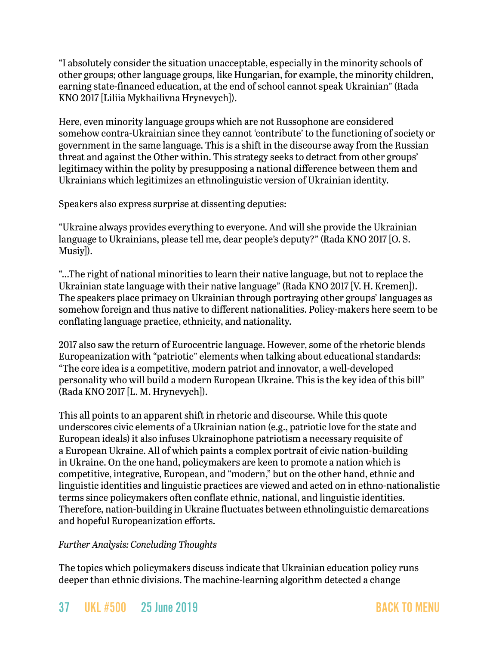"I absolutely consider the situation unacceptable, especially in the minority schools of other groups; other language groups, like Hungarian, for example, the minority children, earning state-financed education, at the end of school cannot speak Ukrainian" (Rada KNO 2017 [Liliia Mykhailivna Hrynevych]).

Here, even minority language groups which are not Russophone are considered somehow contra-Ukrainian since they cannot 'contribute' to the functioning of society or government in the same language. This is a shift in the discourse away from the Russian threat and against the Other within. This strategy seeks to detract from other groups' legitimacy within the polity by presupposing a national difference between them and Ukrainians which legitimizes an ethnolinguistic version of Ukrainian identity.

Speakers also express surprise at dissenting deputies:

"Ukraine always provides everything to everyone. And will she provide the Ukrainian language to Ukrainians, please tell me, dear people's deputy?" (Rada KNO 2017 [O. S. Musiy]).

"…The right of national minorities to learn their native language, but not to replace the Ukrainian state language with their native language" (Rada KNO 2017 [V. H. Kremen]). The speakers place primacy on Ukrainian through portraying other groups' languages as somehow foreign and thus native to different nationalities. Policy-makers here seem to be conflating language practice, ethnicity, and nationality.

2017 also saw the return of Eurocentric language. However, some of the rhetoric blends Europeanization with "patriotic" elements when talking about educational standards: "The core idea is a competitive, modern patriot and innovator, a well-developed personality who will build a modern European Ukraine. This is the key idea of this bill" (Rada KNO 2017 [L. M. Hrynevych]).

This all points to an apparent shift in rhetoric and discourse. While this quote underscores civic elements of a Ukrainian nation (e.g., patriotic love for the state and European ideals) it also infuses Ukrainophone patriotism a necessary requisite of a European Ukraine. All of which paints a complex portrait of civic nation-building in Ukraine. On the one hand, policymakers are keen to promote a nation which is competitive, integrative, European, and "modern," but on the other hand, ethnic and linguistic identities and linguistic practices are viewed and acted on in ethno-nationalistic terms since policymakers often conflate ethnic, national, and linguistic identities. Therefore, nation-building in Ukraine fluctuates between ethnolinguistic demarcations and hopeful Europeanization efforts.

### *Further Analysis: Concluding Thoughts*

The topics which policymakers discuss indicate that Ukrainian education policy runs deeper than ethnic divisions. The machine-learning algorithm detected a change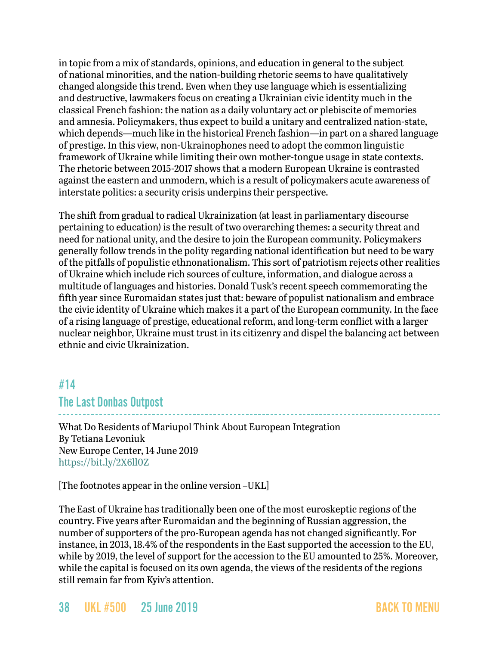in topic from a mix of standards, opinions, and education in general to the subject of national minorities, and the nation-building rhetoric seems to have qualitatively changed alongside this trend. Even when they use language which is essentializing and destructive, lawmakers focus on creating a Ukrainian civic identity much in the classical French fashion: the nation as a daily voluntary act or plebiscite of memories and amnesia. Policymakers, thus expect to build a unitary and centralized nation-state, which depends—much like in the historical French fashion—in part on a shared language of prestige. In this view, non-Ukrainophones need to adopt the common linguistic framework of Ukraine while limiting their own mother-tongue usage in state contexts. The rhetoric between 2015-2017 shows that a modern European Ukraine is contrasted against the eastern and unmodern, which is a result of policymakers acute awareness of interstate politics: a security crisis underpins their perspective.

The shift from gradual to radical Ukrainization (at least in parliamentary discourse pertaining to education) is the result of two overarching themes: a security threat and need for national unity, and the desire to join the European community. Policymakers generally follow trends in the polity regarding national identification but need to be wary of the pitfalls of populistic ethnonationalism. This sort of patriotism rejects other realities of Ukraine which include rich sources of culture, information, and dialogue across a multitude of languages and histories. Donald Tusk's recent speech commemorating the fifth year since Euromaidan states just that: beware of populist nationalism and embrace the civic identity of Ukraine which makes it a part of the European community. In the face of a rising language of prestige, educational reform, and long-term conflict with a larger nuclear neighbor, Ukraine must trust in its citizenry and dispel the balancing act between ethnic and civic Ukrainization.

### <span id="page-37-0"></span>#14

### The Last Donbas Outpost

What Do Residents of Mariupol Think About European Integration By Tetiana Levoniuk New Europe Center, 14 June 2019 <https://bit.ly/2X6ll0Z>

[The footnotes appear in the online version –UKL]

The East of Ukraine has traditionally been one of the most euroskeptic regions of the country. Five years after Euromaidan and the beginning of Russian aggression, the number of supporters of the pro-European agenda has not changed significantly. For instance, in 2013, 18.4% of the respondents in the East supported the accession to the EU, while by 2019, the level of support for the accession to the EU amounted to 25%. Moreover, while the capital is focused on its own agenda, the views of the residents of the regions still remain far from Kyiv's attention.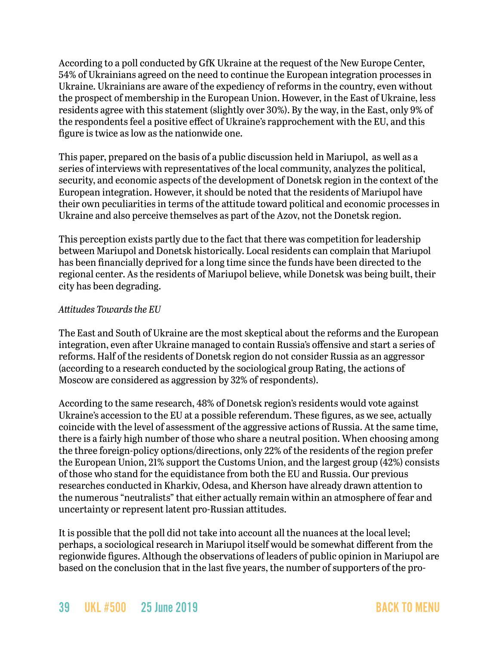According to a poll conducted by GfK Ukraine at the request of the New Europe Center, 54% of Ukrainians agreed on the need to continue the European integration processes in Ukraine. Ukrainians are aware of the expediency of reforms in the country, even without the prospect of membership in the European Union. However, in the East of Ukraine, less residents agree with this statement (slightly over 30%). By the way, in the East, only 9% of the respondents feel a positive effect of Ukraine's rapprochement with the EU, and this figure is twice as low as the nationwide one.

This paper, prepared on the basis of a public discussion held in Mariupol, as well as a series of interviews with representatives of the local community, analyzes the political, security, and economic aspects of the development of Donetsk region in the context of the European integration. However, it should be noted that the residents of Mariupol have their own peculiarities in terms of the attitude toward political and economic processes in Ukraine and also perceive themselves as part of the Azov, not the Donetsk region.

This perception exists partly due to the fact that there was competition for leadership between Mariupol and Donetsk historically. Local residents can complain that Mariupol has been financially deprived for a long time since the funds have been directed to the regional center. As the residents of Mariupol believe, while Donetsk was being built, their city has been degrading.

### *Attitudes Towards the EU*

The East and South of Ukraine are the most skeptical about the reforms and the European integration, even after Ukraine managed to contain Russia's offensive and start a series of reforms. Half of the residents of Donetsk region do not consider Russia as an aggressor (according to a research conducted by the sociological group Rating, the actions of Moscow are considered as aggression by 32% of respondents).

According to the same research, 48% of Donetsk region's residents would vote against Ukraine's accession to the EU at a possible referendum. These figures, as we see, actually coincide with the level of assessment of the aggressive actions of Russia. At the same time, there is a fairly high number of those who share a neutral position. When choosing among the three foreign-policy options/directions, only 22% of the residents of the region prefer the European Union, 21% support the Customs Union, and the largest group (42%) consists of those who stand for the equidistance from both the EU and Russia. Our previous researches conducted in Kharkiv, Odesa, and Kherson have already drawn attention to the numerous "neutralists" that either actually remain within an atmosphere of fear and uncertainty or represent latent pro-Russian attitudes.

It is possible that the poll did not take into account all the nuances at the local level; perhaps, a sociological research in Mariupol itself would be somewhat different from the regionwide figures. Although the observations of leaders of public opinion in Mariupol are based on the conclusion that in the last five years, the number of supporters of the pro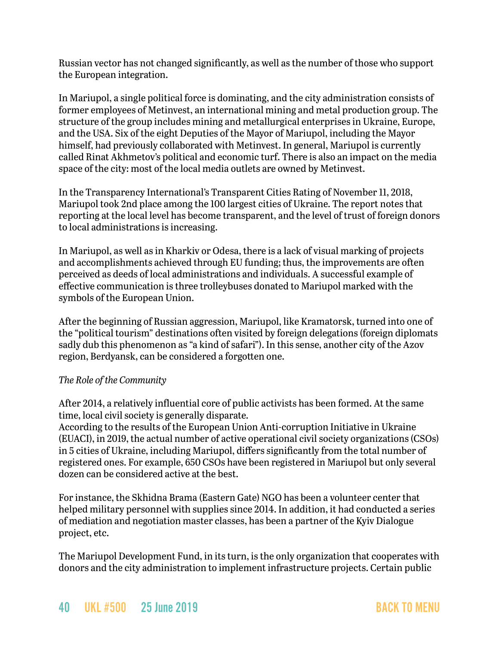Russian vector has not changed significantly, as well as the number of those who support the European integration.

In Mariupol, a single political force is dominating, and the city administration consists of former employees of Metinvest, an international mining and metal production group. The structure of the group includes mining and metallurgical enterprises in Ukraine, Europe, and the USA. Six of the eight Deputies of the Mayor of Mariupol, including the Mayor himself, had previously collaborated with Metinvest. In general, Mariupol is currently called Rinat Akhmetov's political and economic turf. There is also an impact on the media space of the city: most of the local media outlets are owned by Metinvest.

In the Transparency International's Transparent Cities Rating of November 11, 2018, Mariupol took 2nd place among the 100 largest cities of Ukraine. The report notes that reporting at the local level has become transparent, and the level of trust of foreign donors to local administrations is increasing.

In Mariupol, as well as in Kharkiv or Odesa, there is a lack of visual marking of projects and accomplishments achieved through EU funding; thus, the improvements are often perceived as deeds of local administrations and individuals. A successful example of effective communication is three trolleybuses donated to Mariupol marked with the symbols of the European Union.

After the beginning of Russian aggression, Mariupol, like Kramatorsk, turned into one of the "political tourism" destinations often visited by foreign delegations (foreign diplomats sadly dub this phenomenon as "a kind of safari"). In this sense, another city of the Azov region, Berdyansk, can be considered a forgotten one.

### *The Role of the Community*

After 2014, a relatively influential core of public activists has been formed. At the same time, local civil society is generally disparate.

According to the results of the European Union Anti-corruption Initiative in Ukraine (EUACI), in 2019, the actual number of active operational civil society organizations (CSOs) in 5 cities of Ukraine, including Mariupol, differs significantly from the total number of registered ones. For example, 650 CSOs have been registered in Mariupol but only several dozen can be considered active at the best.

For instance, the Skhidna Brama (Eastern Gate) NGO has been a volunteer center that helped military personnel with supplies since 2014. In addition, it had conducted a series of mediation and negotiation master classes, has been a partner of the Kyiv Dialogue project, etc.

The Mariupol Development Fund, in its turn, is the only organization that cooperates with donors and the city administration to implement infrastructure projects. Certain public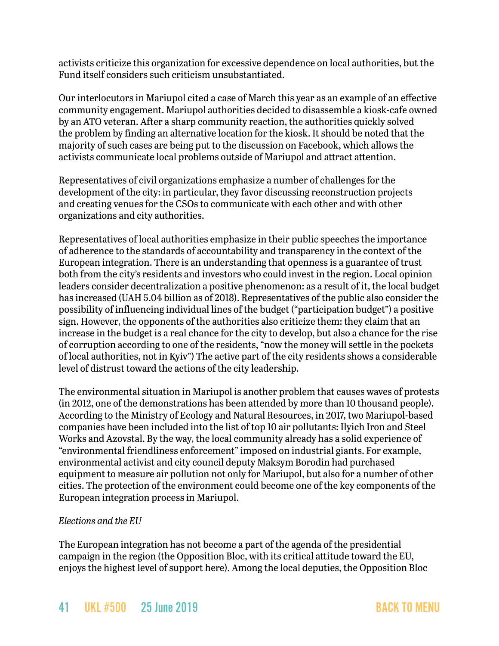activists criticize this organization for excessive dependence on local authorities, but the Fund itself considers such criticism unsubstantiated.

Our interlocutors in Mariupol cited a case of March this year as an example of an effective community engagement. Mariupol authorities decided to disassemble a kiosk-cafe owned by an ATO veteran. After a sharp community reaction, the authorities quickly solved the problem by finding an alternative location for the kiosk. It should be noted that the majority of such cases are being put to the discussion on Facebook, which allows the activists communicate local problems outside of Mariupol and attract attention.

Representatives of civil organizations emphasize a number of challenges for the development of the city: in particular, they favor discussing reconstruction projects and creating venues for the CSOs to communicate with each other and with other organizations and city authorities.

Representatives of local authorities emphasize in their public speeches the importance of adherence to the standards of accountability and transparency in the context of the European integration. There is an understanding that openness is a guarantee of trust both from the city's residents and investors who could invest in the region. Local opinion leaders consider decentralization a positive phenomenon: as a result of it, the local budget has increased (UAH 5.04 billion as of 2018). Representatives of the public also consider the possibility of influencing individual lines of the budget ("participation budget") a positive sign. However, the opponents of the authorities also criticize them: they claim that an increase in the budget is a real chance for the city to develop, but also a chance for the rise of corruption according to one of the residents, "now the money will settle in the pockets of local authorities, not in Kyiv") The active part of the city residents shows a considerable level of distrust toward the actions of the city leadership.

The environmental situation in Mariupol is another problem that causes waves of protests (in 2012, one of the demonstrations has been attended by more than 10 thousand people). According to the Ministry of Ecology and Natural Resources, in 2017, two Mariupol-based companies have been included into the list of top 10 air pollutants: Ilyich Iron and Steel Works and Azovstal. By the way, the local community already has a solid experience of "environmental friendliness enforcement" imposed on industrial giants. For example, environmental activist and city council deputy Maksym Borodin had purchased equipment to measure air pollution not only for Mariupol, but also for a number of other cities. The protection of the environment could become one of the key components of the European integration process in Mariupol.

### *Elections and the EU*

The European integration has not become a part of the agenda of the presidential campaign in the region (the Opposition Bloc, with its critical attitude toward the EU, enjoys the highest level of support here). Among the local deputies, the Opposition Bloc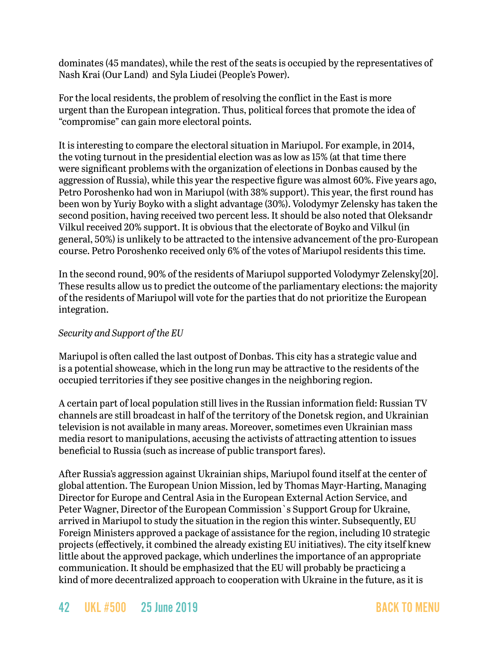dominates (45 mandates), while the rest of the seats is occupied by the representatives of Nash Krai (Our Land) and Syla Liudei (People's Power).

For the local residents, the problem of resolving the conflict in the East is more urgent than the European integration. Thus, political forces that promote the idea of "compromise" can gain more electoral points.

It is interesting to compare the electoral situation in Mariupol. For example, in 2014, the voting turnout in the presidential election was as low as 15% (at that time there were significant problems with the organization of elections in Donbas caused by the aggression of Russia), while this year the respective figure was almost 60%. Five years ago, Petro Poroshenko had won in Mariupol (with 38% support). This year, the first round has been won by Yuriy Boyko with a slight advantage (30%). Volodymyr Zelensky has taken the second position, having received two percent less. It should be also noted that Oleksandr Vilkul received 20% support. It is obvious that the electorate of Boyko and Vilkul (in general, 50%) is unlikely to be attracted to the intensive advancement of the pro-European course. Petro Poroshenko received only 6% of the votes of Mariupol residents this time.

In the second round, 90% of the residents of Mariupol supported Volodymyr Zelensky[20]. These results allow us to predict the outcome of the parliamentary elections: the majority of the residents of Mariupol will vote for the parties that do not prioritize the European integration.

### *Security and Support of the EU*

Mariupol is often called the last outpost of Donbas. This city has a strategic value and is a potential showcase, which in the long run may be attractive to the residents of the occupied territories if they see positive changes in the neighboring region.

A certain part of local population still lives in the Russian information field: Russian TV channels are still broadcast in half of the territory of the Donetsk region, and Ukrainian television is not available in many areas. Moreover, sometimes even Ukrainian mass media resort to manipulations, accusing the activists of attracting attention to issues beneficial to Russia (such as increase of public transport fares).

After Russia's aggression against Ukrainian ships, Mariupol found itself at the center of global attention. The European Union Mission, led by Thomas Mayr-Harting, Managing Director for Europe and Central Asia in the European External Action Service, and Peter Wagner, Director of the European Commission`s Support Group for Ukraine, arrived in Mariupol to study the situation in the region this winter. Subsequently, EU Foreign Ministers approved a package of assistance for the region, including 10 strategic projects (effectively, it combined the already existing EU initiatives). The city itself knew little about the approved package, which underlines the importance of an appropriate communication. It should be emphasized that the EU will probably be practicing a kind of more decentralized approach to cooperation with Ukraine in the future, as it is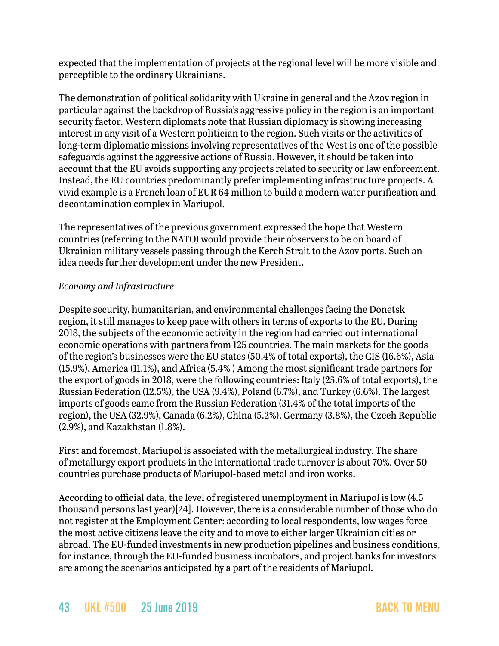expected that the implementation of projects at the regional level will be more visible and perceptible to the ordinary Ukrainians.

The demonstration of political solidarity with Ukraine in general and the Azov region in particular against the backdrop of Russia's aggressive policy in the region is an important security factor. Western diplomats note that Russian diplomacy is showing increasing interest in any visit of a Western politician to the region. Such visits or the activities of long-term diplomatic missions involving representatives of the West is one of the possible safeguards against the aggressive actions of Russia. However, it should be taken into account that the EU avoids supporting any projects related to security or law enforcement. Instead, the EU countries predominantly prefer implementing infrastructure projects. A vivid example is a French loan of EUR 64 million to build a modern water purification and decontamination complex in Mariupol.

The representatives of the previous government expressed the hope that Western countries (referring to the NATO) would provide their observers to be on board of Ukrainian military vessels passing through the Kerch Strait to the Azov ports. Such an idea needs further development under the new President.

### *Economy and Infrastructure*

Despite security, humanitarian, and environmental challenges facing the Donetsk region, it still manages to keep pace with others in terms of exports to the EU. During 2018, the subjects of the economic activity in the region had carried out international economic operations with partners from 125 countries. The main markets for the goods of the region's businesses were the EU states (50.4% of total exports), the CIS (16.6%), Asia (15.9%), America (11.1%), and Africa (5.4% ) Among the most significant trade partners for the export of goods in 2018, were the following countries: Italy (25.6% of total exports), the Russian Federation (12.5%), the USA (9.4%), Poland (6.7%), and Turkey (6.6%). The largest imports of goods came from the Russian Federation (31.4% of the total imports of the region), the USA (32.9%), Canada (6.2%), China (5.2%), Germany (3.8%), the Czech Republic (2.9%), and Kazakhstan (1.8%).

First and foremost, Mariupol is associated with the metallurgical industry. The share of metallurgy export products in the international trade turnover is about 70%. Over 50 countries purchase products of Mariupol-based metal and iron works.

According to official data, the level of registered unemployment in Mariupol is low (4.5 thousand persons last year)[24]. However, there is a considerable number of those who do not register at the Employment Center: according to local respondents, low wages force the most active citizens leave the city and to move to either larger Ukrainian cities or abroad. The EU-funded investments in new production pipelines and business conditions, for instance, through the EU-funded business incubators, and project banks for investors are among the scenarios anticipated by a part of the residents of Mariupol.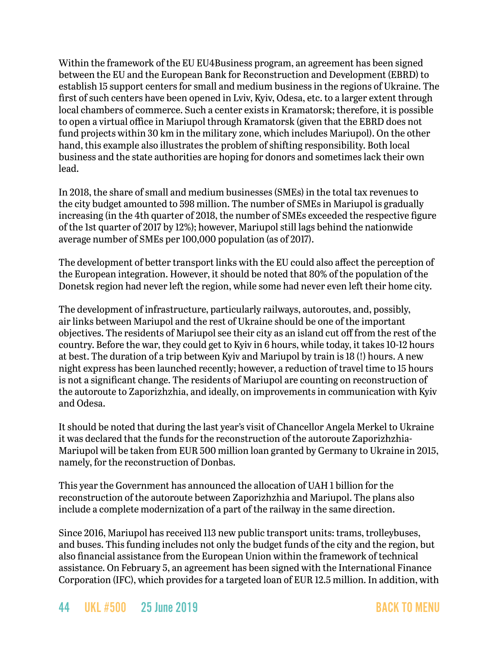Within the framework of the EU EU4Business program, an agreement has been signed between the EU and the European Bank for Reconstruction and Development (EBRD) to establish 15 support centers for small and medium business in the regions of Ukraine. The first of such centers have been opened in Lviv, Kyiv, Odesa, etc. to a larger extent through local chambers of commerce. Such a center exists in Kramatorsk; therefore, it is possible to open a virtual office in Mariupol through Kramatorsk (given that the EBRD does not fund projects within 30 km in the military zone, which includes Mariupol). On the other hand, this example also illustrates the problem of shifting responsibility. Both local business and the state authorities are hoping for donors and sometimes lack their own lead.

In 2018, the share of small and medium businesses (SMEs) in the total tax revenues to the city budget amounted to 598 million. The number of SMEs in Mariupol is gradually increasing (in the 4th quarter of 2018, the number of SMEs exceeded the respective figure of the 1st quarter of 2017 by 12%); however, Mariupol still lags behind the nationwide average number of SMEs per 100,000 population (as of 2017).

The development of better transport links with the EU could also affect the perception of the European integration. However, it should be noted that 80% of the population of the Donetsk region had never left the region, while some had never even left their home city.

The development of infrastructure, particularly railways, autoroutes, and, possibly, air links between Mariupol and the rest of Ukraine should be one of the important objectives. The residents of Mariupol see their city as an island cut off from the rest of the country. Before the war, they could get to Kyiv in 6 hours, while today, it takes 10-12 hours at best. The duration of a trip between Kyiv and Mariupol by train is 18 (!) hours. A new night express has been launched recently; however, a reduction of travel time to 15 hours is not a significant change. The residents of Mariupol are counting on reconstruction of the autoroute to Zaporizhzhia, and ideally, on improvements in communication with Kyiv and Odesa.

It should be noted that during the last year's visit of Chancellor Angela Merkel to Ukraine it was declared that the funds for the reconstruction of the autoroute Zaporizhzhia-Mariupol will be taken from EUR 500 million loan granted by Germany to Ukraine in 2015, namely, for the reconstruction of Donbas.

This year the Government has announced the allocation of UAH 1 billion for the reconstruction of the autoroute between Zaporizhzhia and Mariupol. The plans also include a complete modernization of a part of the railway in the same direction.

Since 2016, Mariupol has received 113 new public transport units: trams, trolleybuses, and buses. This funding includes not only the budget funds of the city and the region, but also financial assistance from the European Union within the framework of technical assistance. On February 5, an agreement has been signed with the International Finance Corporation (IFC), which provides for a targeted loan of EUR 12.5 million. In addition, with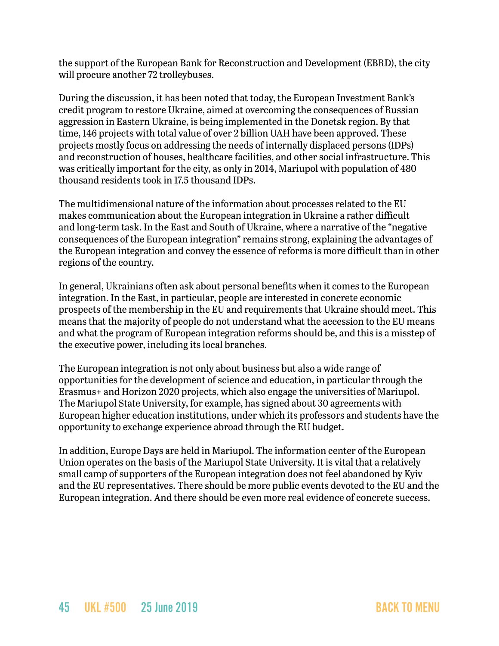the support of the European Bank for Reconstruction and Development (EBRD), the city will procure another 72 trolleybuses.

During the discussion, it has been noted that today, the European Investment Bank's credit program to restore Ukraine, aimed at overcoming the consequences of Russian aggression in Eastern Ukraine, is being implemented in the Donetsk region. By that time, 146 projects with total value of over 2 billion UAH have been approved. These projects mostly focus on addressing the needs of internally displaced persons (IDPs) and reconstruction of houses, healthcare facilities, and other social infrastructure. This was critically important for the city, as only in 2014, Mariupol with population of 480 thousand residents took in 17.5 thousand IDPs.

The multidimensional nature of the information about processes related to the EU makes communication about the European integration in Ukraine a rather difficult and long-term task. In the East and South of Ukraine, where a narrative of the "negative consequences of the European integration" remains strong, explaining the advantages of the European integration and convey the essence of reforms is more difficult than in other regions of the country.

In general, Ukrainians often ask about personal benefits when it comes to the European integration. In the East, in particular, people are interested in concrete economic prospects of the membership in the EU and requirements that Ukraine should meet. This means that the majority of people do not understand what the accession to the EU means and what the program of European integration reforms should be, and this is a misstep of the executive power, including its local branches.

The European integration is not only about business but also a wide range of opportunities for the development of science and education, in particular through the Erasmus+ and Horizon 2020 projects, which also engage the universities of Mariupol. The Mariupol State University, for example, has signed about 30 agreements with European higher education institutions, under which its professors and students have the opportunity to exchange experience abroad through the EU budget.

In addition, Europe Days are held in Mariupol. The information center of the European Union operates on the basis of the Mariupol State University. It is vital that a relatively small camp of supporters of the European integration does not feel abandoned by Kyiv and the EU representatives. There should be more public events devoted to the EU and the European integration. And there should be even more real evidence of concrete success.